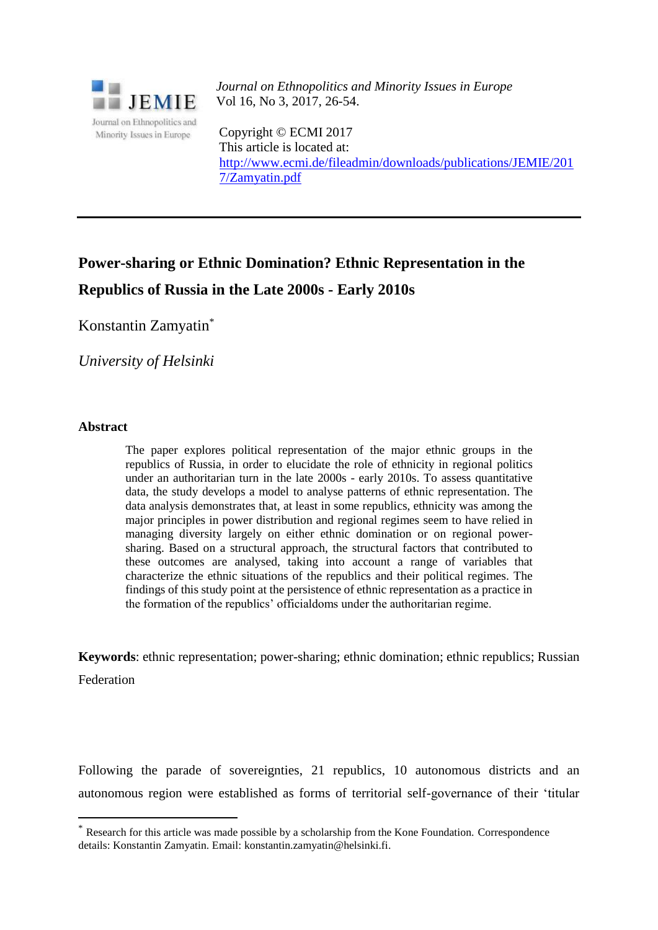

*Journal on Ethnopolitics and Minority Issues in Europe* Vol 16, No 3, 2017, 26-54.

Copyright © ECMI 2017 This article is located at: [http://www.ecmi.de/fileadmin/downloads/publications/JEMIE/201](http://www.ecmi.de/fileadmin/downloads/publications/JEMIE/201%207/Zamyatin.pdf)  [7/Zamyatin.pdf](http://www.ecmi.de/fileadmin/downloads/publications/JEMIE/201%207/Zamyatin.pdf)

# **Power-sharing or Ethnic Domination? Ethnic Representation in the Republics of Russia in the Late 2000s - Early 2010s**

Konstantin Zamyatin\*

*University of Helsinki*

# **Abstract**

 $\overline{a}$ 

The paper explores political representation of the major ethnic groups in the republics of Russia, in order to elucidate the role of ethnicity in regional politics under an authoritarian turn in the late 2000s - early 2010s. To assess quantitative data, the study develops a model to analyse patterns of ethnic representation. The data analysis demonstrates that, at least in some republics, ethnicity was among the major principles in power distribution and regional regimes seem to have relied in managing diversity largely on either ethnic domination or on regional powersharing. Based on a structural approach, the structural factors that contributed to these outcomes are analysed, taking into account a range of variables that characterize the ethnic situations of the republics and their political regimes. The findings of this study point at the persistence of ethnic representation as a practice in the formation of the republics' officialdoms under the authoritarian regime.

**Keywords**: ethnic representation; power-sharing; ethnic domination; ethnic republics; Russian Federation

Following the parade of sovereignties, 21 republics, 10 autonomous districts and an autonomous region were established as forms of territorial self-governance of their 'titular

Research for this article was made possible by a scholarship from the Kone Foundation. Correspondence details: Konstantin Zamyatin. Email: konstantin.zamyatin@helsinki.fi.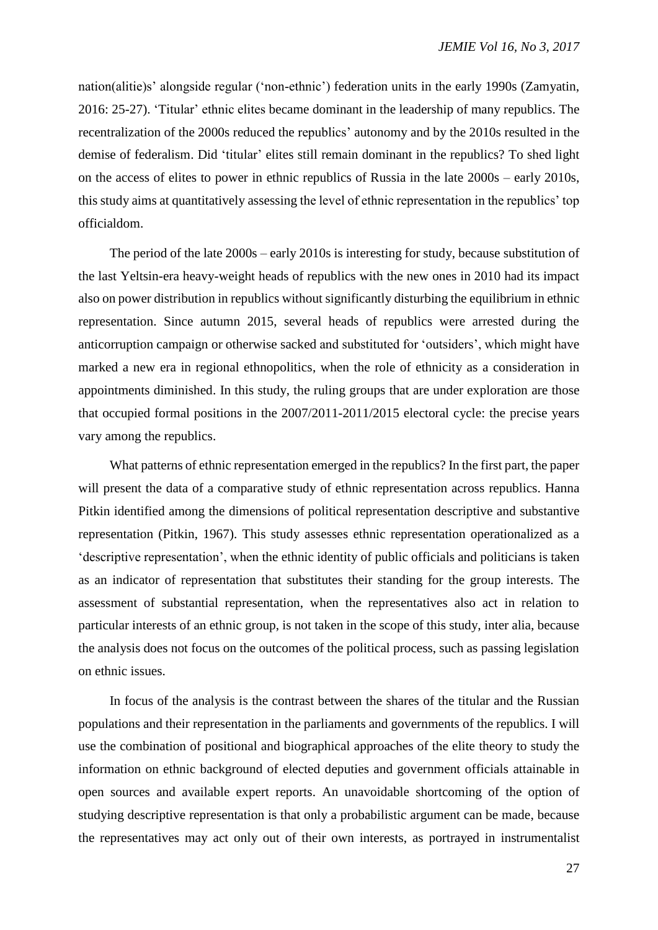nation(alitie)s' alongside regular ('non-ethnic') federation units in the early 1990s (Zamyatin, 2016: 25-27). 'Titular' ethnic elites became dominant in the leadership of many republics. The recentralization of the 2000s reduced the republics' autonomy and by the 2010s resulted in the demise of federalism. Did 'titular' elites still remain dominant in the republics? To shed light on the access of elites to power in ethnic republics of Russia in the late 2000s – early 2010s, this study aims at quantitatively assessing the level of ethnic representation in the republics' top officialdom.

The period of the late 2000s – early 2010s is interesting for study, because substitution of the last Yeltsin-era heavy-weight heads of republics with the new ones in 2010 had its impact also on power distribution in republics without significantly disturbing the equilibrium in ethnic representation. Since autumn 2015, several heads of republics were arrested during the anticorruption campaign or otherwise sacked and substituted for 'outsiders', which might have marked a new era in regional ethnopolitics, when the role of ethnicity as a consideration in appointments diminished. In this study, the ruling groups that are under exploration are those that occupied formal positions in the 2007/2011-2011/2015 electoral cycle: the precise years vary among the republics.

What patterns of ethnic representation emerged in the republics? In the first part, the paper will present the data of a comparative study of ethnic representation across republics. Hanna Pitkin identified among the dimensions of political representation descriptive and substantive representation (Pitkin, 1967). This study assesses ethnic representation operationalized as a 'descriptive representation', when the ethnic identity of public officials and politicians is taken as an indicator of representation that substitutes their standing for the group interests. The assessment of substantial representation, when the representatives also act in relation to particular interests of an ethnic group, is not taken in the scope of this study, inter alia, because the analysis does not focus on the outcomes of the political process, such as passing legislation on ethnic issues.

In focus of the analysis is the contrast between the shares of the titular and the Russian populations and their representation in the parliaments and governments of the republics. I will use the combination of positional and biographical approaches of the elite theory to study the information on ethnic background of elected deputies and government officials attainable in open sources and available expert reports. An unavoidable shortcoming of the option of studying descriptive representation is that only a probabilistic argument can be made, because the representatives may act only out of their own interests, as portrayed in instrumentalist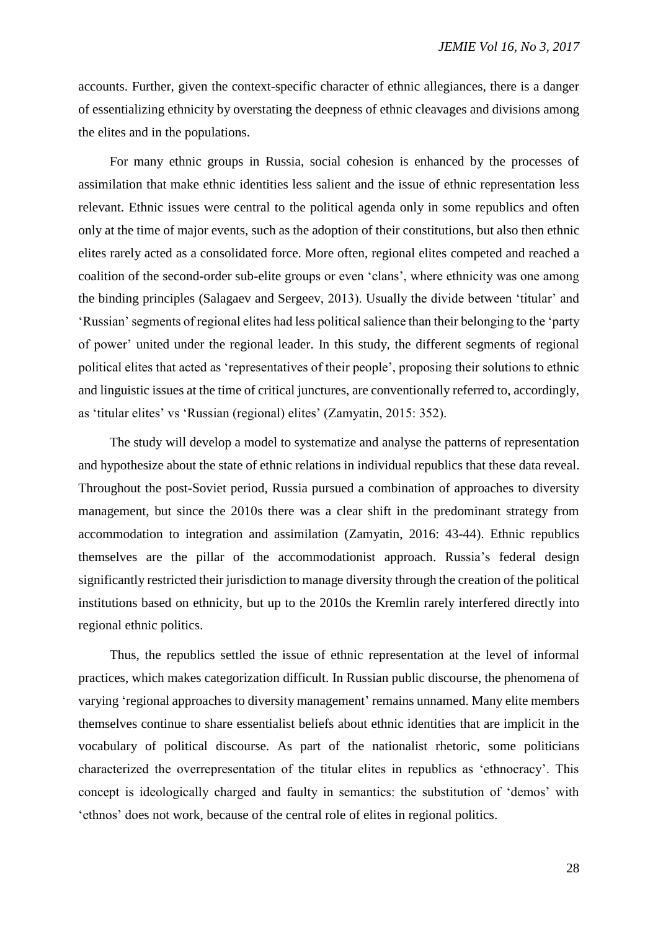accounts. Further, given the context-specific character of ethnic allegiances, there is a danger of essentializing ethnicity by overstating the deepness of ethnic cleavages and divisions among the elites and in the populations.

For many ethnic groups in Russia, social cohesion is enhanced by the processes of assimilation that make ethnic identities less salient and the issue of ethnic representation less relevant. Ethnic issues were central to the political agenda only in some republics and often only at the time of major events, such as the adoption of their constitutions, but also then ethnic elites rarely acted as a consolidated force. More often, regional elites competed and reached a coalition of the second-order sub-elite groups or even 'clans', where ethnicity was one among the binding principles (Salagaev and Sergeev, 2013). Usually the divide between 'titular' and 'Russian' segments of regional elites had less political salience than their belonging to the 'party of power' united under the regional leader. In this study, the different segments of regional political elites that acted as 'representatives of their people', proposing their solutions to ethnic and linguistic issues at the time of critical junctures, are conventionally referred to, accordingly, as 'titular elites' vs 'Russian (regional) elites' (Zamyatin, 2015: 352).

The study will develop a model to systematize and analyse the patterns of representation and hypothesize about the state of ethnic relations in individual republics that these data reveal. Throughout the post-Soviet period, Russia pursued a combination of approaches to diversity management, but since the 2010s there was a clear shift in the predominant strategy from accommodation to integration and assimilation (Zamyatin, 2016: 43-44). Ethnic republics themselves are the pillar of the accommodationist approach. Russia's federal design significantly restricted their jurisdiction to manage diversity through the creation of the political institutions based on ethnicity, but up to the 2010s the Kremlin rarely interfered directly into regional ethnic politics.

Thus, the republics settled the issue of ethnic representation at the level of informal practices, which makes categorization difficult. In Russian public discourse, the phenomena of varying 'regional approaches to diversity management' remains unnamed. Many elite members themselves continue to share essentialist beliefs about ethnic identities that are implicit in the vocabulary of political discourse. As part of the nationalist rhetoric, some politicians characterized the overrepresentation of the titular elites in republics as 'ethnocracy'. This concept is ideologically charged and faulty in semantics: the substitution of 'demos' with 'ethnos' does not work, because of the central role of elites in regional politics.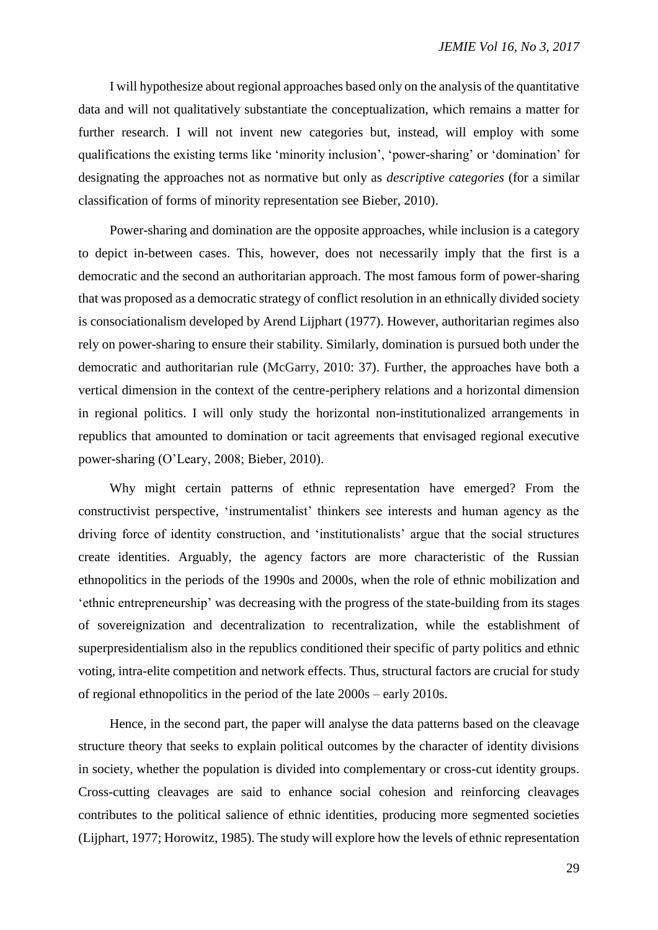I will hypothesize about regional approaches based only on the analysis of the quantitative data and will not qualitatively substantiate the conceptualization, which remains a matter for further research. I will not invent new categories but, instead, will employ with some qualifications the existing terms like 'minority inclusion', 'power-sharing' or 'domination' for designating the approaches not as normative but only as *descriptive categories* (for a similar classification of forms of minority representation see Bieber, 2010).

Power-sharing and domination are the opposite approaches, while inclusion is a category to depict in-between cases. This, however, does not necessarily imply that the first is a democratic and the second an authoritarian approach. The most famous form of power-sharing that was proposed as a democratic strategy of conflict resolution in an ethnically divided society is consociationalism developed by Arend Lijphart (1977). However, authoritarian regimes also rely on power-sharing to ensure their stability. Similarly, domination is pursued both under the democratic and authoritarian rule (McGarry, 2010: 37). Further, the approaches have both a vertical dimension in the context of the centre-periphery relations and a horizontal dimension in regional politics. I will only study the horizontal non-institutionalized arrangements in republics that amounted to domination or tacit agreements that envisaged regional executive power-sharing (O'Leary, 2008; Bieber, 2010).

Why might certain patterns of ethnic representation have emerged? From the constructivist perspective, 'instrumentalist' thinkers see interests and human agency as the driving force of identity construction, and 'institutionalists' argue that the social structures create identities. Arguably, the agency factors are more characteristic of the Russian ethnopolitics in the periods of the 1990s and 2000s, when the role of ethnic mobilization and 'ethnic entrepreneurship' was decreasing with the progress of the state-building from its stages of sovereignization and decentralization to recentralization, while the establishment of superpresidentialism also in the republics conditioned their specific of party politics and ethnic voting, intra-elite competition and network effects. Thus, structural factors are crucial for study of regional ethnopolitics in the period of the late 2000s – early 2010s.

Hence, in the second part, the paper will analyse the data patterns based on the cleavage structure theory that seeks to explain political outcomes by the character of identity divisions in society, whether the population is divided into complementary or cross-cut identity groups. Cross-cutting cleavages are said to enhance social cohesion and reinforcing cleavages contributes to the political salience of ethnic identities, producing more segmented societies (Lijphart, 1977; Horowitz, 1985). The study will explore how the levels of ethnic representation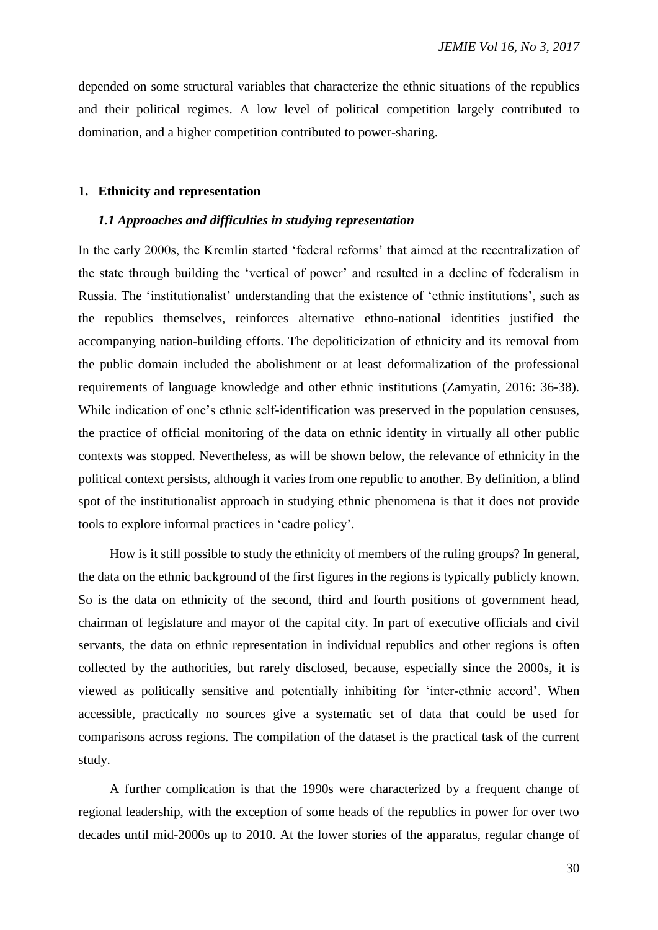depended on some structural variables that characterize the ethnic situations of the republics and their political regimes. A low level of political competition largely contributed to domination, and a higher competition contributed to power-sharing.

# **1. Ethnicity and representation**

#### *1.1 Approaches and difficulties in studying representation*

In the early 2000s, the Kremlin started 'federal reforms' that aimed at the recentralization of the state through building the 'vertical of power' and resulted in a decline of federalism in Russia. The 'institutionalist' understanding that the existence of 'ethnic institutions', such as the republics themselves, reinforces alternative ethno-national identities justified the accompanying nation-building efforts. The depoliticization of ethnicity and its removal from the public domain included the abolishment or at least deformalization of the professional requirements of language knowledge and other ethnic institutions (Zamyatin, 2016: 36-38). While indication of one's ethnic self-identification was preserved in the population censuses, the practice of official monitoring of the data on ethnic identity in virtually all other public contexts was stopped. Nevertheless, as will be shown below, the relevance of ethnicity in the political context persists, although it varies from one republic to another. By definition, a blind spot of the institutionalist approach in studying ethnic phenomena is that it does not provide tools to explore informal practices in 'cadre policy'.

How is it still possible to study the ethnicity of members of the ruling groups? In general, the data on the ethnic background of the first figures in the regions is typically publicly known. So is the data on ethnicity of the second, third and fourth positions of government head, chairman of legislature and mayor of the capital city. In part of executive officials and civil servants, the data on ethnic representation in individual republics and other regions is often collected by the authorities, but rarely disclosed, because, especially since the 2000s, it is viewed as politically sensitive and potentially inhibiting for 'inter-ethnic accord'. When accessible, practically no sources give a systematic set of data that could be used for comparisons across regions. The compilation of the dataset is the practical task of the current study.

A further complication is that the 1990s were characterized by a frequent change of regional leadership, with the exception of some heads of the republics in power for over two decades until mid-2000s up to 2010. At the lower stories of the apparatus, regular change of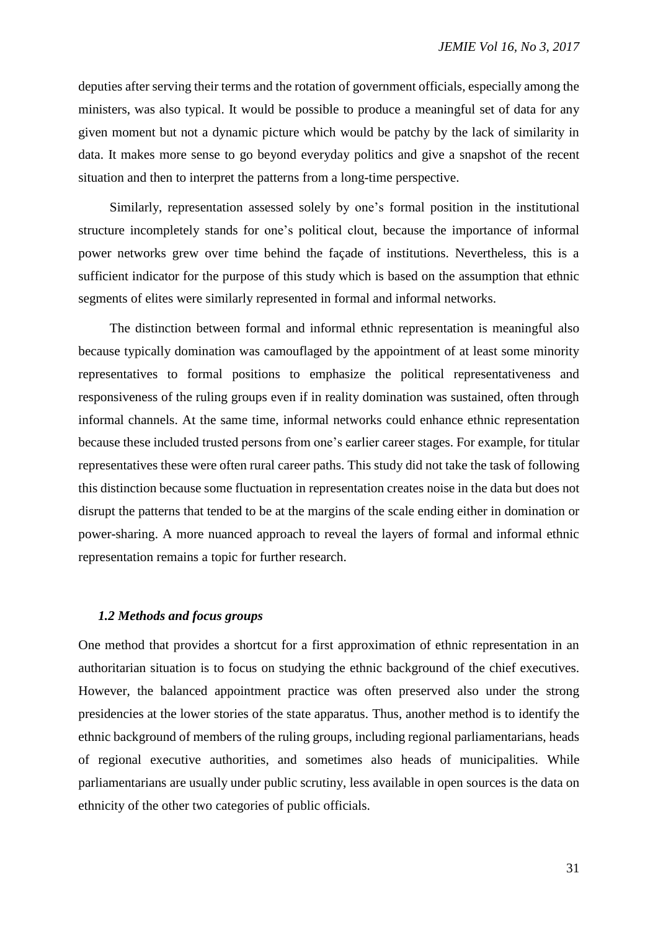deputies after serving their terms and the rotation of government officials, especially among the ministers, was also typical. It would be possible to produce a meaningful set of data for any given moment but not a dynamic picture which would be patchy by the lack of similarity in data. It makes more sense to go beyond everyday politics and give a snapshot of the recent situation and then to interpret the patterns from a long-time perspective.

Similarly, representation assessed solely by one's formal position in the institutional structure incompletely stands for one's political clout, because the importance of informal power networks grew over time behind the façade of institutions. Nevertheless, this is a sufficient indicator for the purpose of this study which is based on the assumption that ethnic segments of elites were similarly represented in formal and informal networks.

The distinction between formal and informal ethnic representation is meaningful also because typically domination was camouflaged by the appointment of at least some minority representatives to formal positions to emphasize the political representativeness and responsiveness of the ruling groups even if in reality domination was sustained, often through informal channels. At the same time, informal networks could enhance ethnic representation because these included trusted persons from one's earlier career stages. For example, for titular representatives these were often rural career paths. This study did not take the task of following this distinction because some fluctuation in representation creates noise in the data but does not disrupt the patterns that tended to be at the margins of the scale ending either in domination or power-sharing. A more nuanced approach to reveal the layers of formal and informal ethnic representation remains a topic for further research.

## *1.2 Methods and focus groups*

One method that provides a shortcut for a first approximation of ethnic representation in an authoritarian situation is to focus on studying the ethnic background of the chief executives. However, the balanced appointment practice was often preserved also under the strong presidencies at the lower stories of the state apparatus. Thus, another method is to identify the ethnic background of members of the ruling groups, including regional parliamentarians, heads of regional executive authorities, and sometimes also heads of municipalities. While parliamentarians are usually under public scrutiny, less available in open sources is the data on ethnicity of the other two categories of public officials.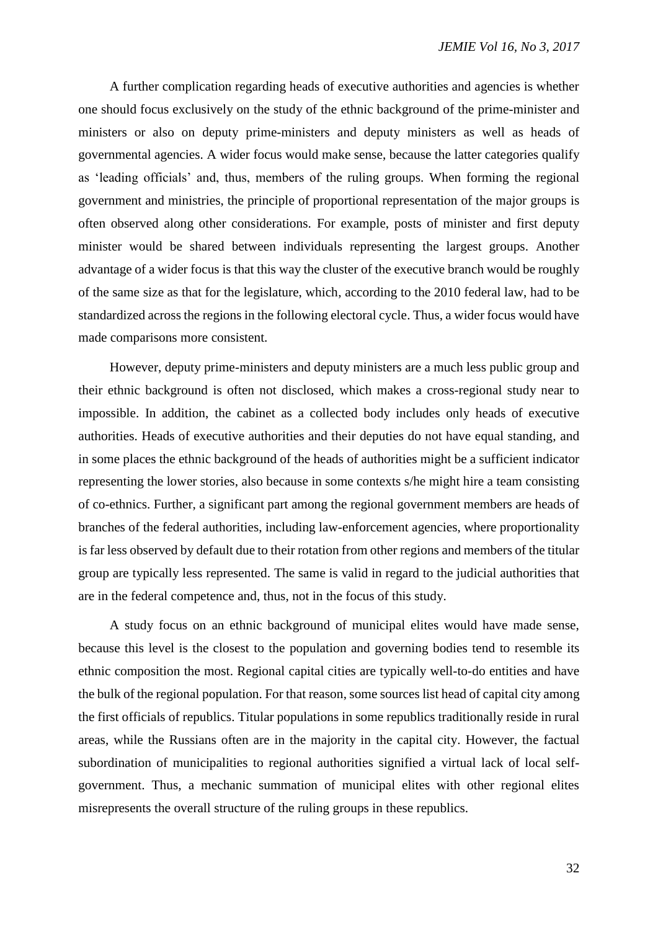A further complication regarding heads of executive authorities and agencies is whether one should focus exclusively on the study of the ethnic background of the prime-minister and ministers or also on deputy prime-ministers and deputy ministers as well as heads of governmental agencies. A wider focus would make sense, because the latter categories qualify as 'leading officials' and, thus, members of the ruling groups. When forming the regional government and ministries, the principle of proportional representation of the major groups is often observed along other considerations. For example, posts of minister and first deputy minister would be shared between individuals representing the largest groups. Another advantage of a wider focus is that this way the cluster of the executive branch would be roughly of the same size as that for the legislature, which, according to the 2010 federal law, had to be standardized across the regions in the following electoral cycle. Thus, a wider focus would have made comparisons more consistent.

However, deputy prime-ministers and deputy ministers are a much less public group and their ethnic background is often not disclosed, which makes a cross-regional study near to impossible. In addition, the cabinet as a collected body includes only heads of executive authorities. Heads of executive authorities and their deputies do not have equal standing, and in some places the ethnic background of the heads of authorities might be a sufficient indicator representing the lower stories, also because in some contexts s/he might hire a team consisting of co-ethnics. Further, a significant part among the regional government members are heads of branches of the federal authorities, including law-enforcement agencies, where proportionality is far less observed by default due to their rotation from other regions and members of the titular group are typically less represented. The same is valid in regard to the judicial authorities that are in the federal competence and, thus, not in the focus of this study.

A study focus on an ethnic background of municipal elites would have made sense, because this level is the closest to the population and governing bodies tend to resemble its ethnic composition the most. Regional capital cities are typically well-to-do entities and have the bulk of the regional population. For that reason, some sources list head of capital city among the first officials of republics. Titular populations in some republics traditionally reside in rural areas, while the Russians often are in the majority in the capital city. However, the factual subordination of municipalities to regional authorities signified a virtual lack of local selfgovernment. Thus, a mechanic summation of municipal elites with other regional elites misrepresents the overall structure of the ruling groups in these republics.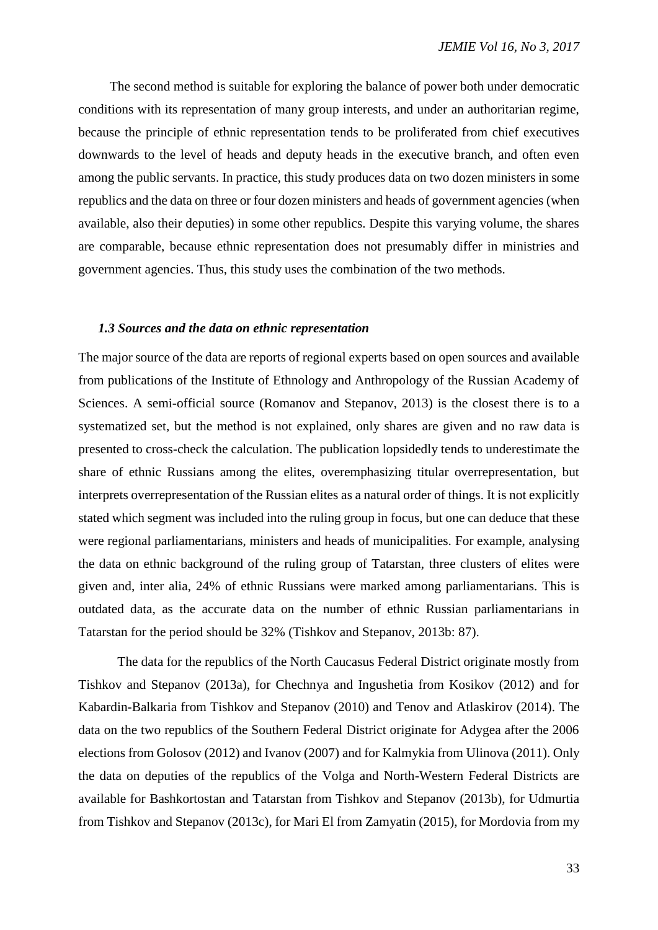The second method is suitable for exploring the balance of power both under democratic conditions with its representation of many group interests, and under an authoritarian regime, because the principle of ethnic representation tends to be proliferated from chief executives downwards to the level of heads and deputy heads in the executive branch, and often even among the public servants. In practice, this study produces data on two dozen ministers in some republics and the data on three or four dozen ministers and heads of government agencies (when available, also their deputies) in some other republics. Despite this varying volume, the shares are comparable, because ethnic representation does not presumably differ in ministries and government agencies. Thus, this study uses the combination of the two methods.

#### *1.3 Sources and the data on ethnic representation*

The major source of the data are reports of regional experts based on open sources and available from publications of the Institute of Ethnology and Anthropology of the Russian Academy of Sciences. A semi-official source (Romanov and Stepanov, 2013) is the closest there is to a systematized set, but the method is not explained, only shares are given and no raw data is presented to cross-check the calculation. The publication lopsidedly tends to underestimate the share of ethnic Russians among the elites, overemphasizing titular overrepresentation, but interprets overrepresentation of the Russian elites as a natural order of things. It is not explicitly stated which segment was included into the ruling group in focus, but one can deduce that these were regional parliamentarians, ministers and heads of municipalities. For example, analysing the data on ethnic background of the ruling group of Tatarstan, three clusters of elites were given and, inter alia, 24% of ethnic Russians were marked among parliamentarians. This is outdated data, as the accurate data on the number of ethnic Russian parliamentarians in Tatarstan for the period should be 32% (Tishkov and Stepanov, 2013b: 87).

The data for the republics of the North Caucasus Federal District originate mostly from Tishkov and Stepanov (2013a), for Chechnya and Ingushetia from Kosikov (2012) and for Kabardin-Balkaria from Tishkov and Stepanov (2010) and Tenov and Atlaskirov (2014). The data on the two republics of the Southern Federal District originate for Adygea after the 2006 elections from Golosov (2012) and Ivanov (2007) and for Kalmykia from Ulinova (2011). Only the data on deputies of the republics of the Volga and North-Western Federal Districts are available for Bashkortostan and Tatarstan from Tishkov and Stepanov (2013b), for Udmurtia from Tishkov and Stepanov (2013c), for Mari El from Zamyatin (2015), for Mordovia from my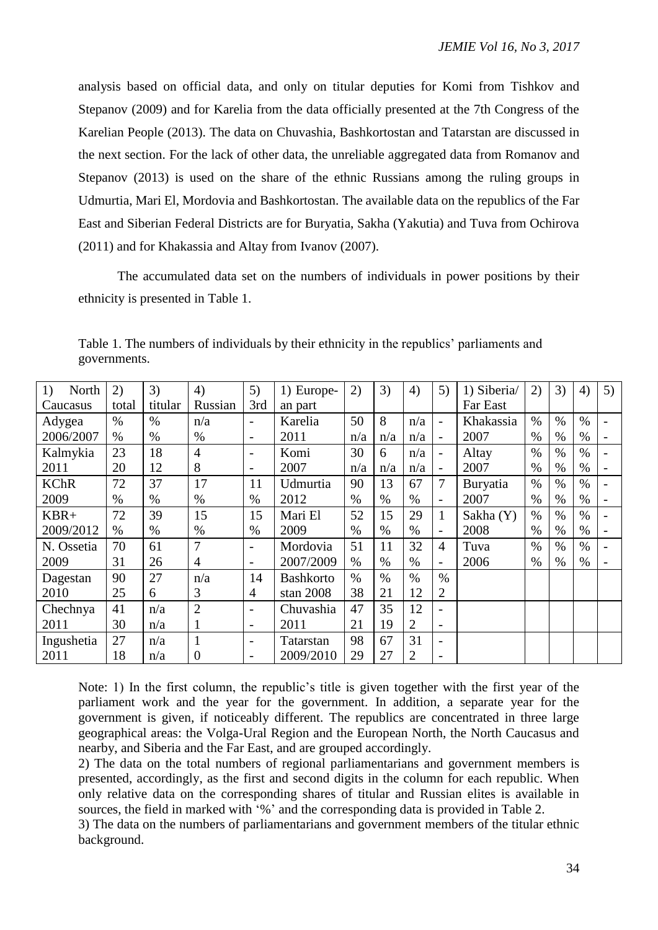analysis based on official data, and only on titular deputies for Komi from Tishkov and Stepanov (2009) and for Karelia from the data officially presented at the 7th Congress of the Karelian People (2013). The data on Chuvashia, Bashkortostan and Tatarstan are discussed in the next section. For the lack of other data, the unreliable aggregated data from Romanov and Stepanov (2013) is used on the share of the ethnic Russians among the ruling groups in Udmurtia, Mari El, Mordovia and Bashkortostan. The available data on the republics of the Far East and Siberian Federal Districts are for Buryatia, Sakha (Yakutia) and Tuva from Ochirova (2011) and for Khakassia and Altay from Ivanov (2007).

The accumulated data set on the numbers of individuals in power positions by their ethnicity is presented in Table 1.

| North<br>1) | 2)    | 3)      | 4)             | 5)                       | 1) Europe-       | 2)            | 3)   | 4)             | 5)                       | 1) Siberia/ | 2)   | 3)            | 4)   | 5) |
|-------------|-------|---------|----------------|--------------------------|------------------|---------------|------|----------------|--------------------------|-------------|------|---------------|------|----|
| Caucasus    | total | titular | Russian        | 3rd                      | an part          |               |      |                |                          | Far East    |      |               |      |    |
| Adygea      | $\%$  | $\%$    | n/a            | $\overline{\phantom{a}}$ | Karelia          | 50            | 8    | n/a            | $\overline{\phantom{0}}$ | Khakassia   | $\%$ | $\%$          | $\%$ |    |
| 2006/2007   | $\%$  | $\%$    | $\%$           | $\overline{\phantom{a}}$ | 2011             | n/a           | n/a  | n/a            | $\overline{\phantom{a}}$ | 2007        | $\%$ | $\%$          | $\%$ |    |
| Kalmykia    | 23    | 18      | $\overline{4}$ | $\overline{\phantom{a}}$ | Komi             | 30            | 6    | n/a            | $\overline{\phantom{a}}$ | Altay       | $\%$ | $\%$          | $\%$ |    |
| 2011        | 20    | 12      | 8              | $\overline{\phantom{a}}$ | 2007             | n/a           | n/a  | n/a            | $\overline{\phantom{0}}$ | 2007        | $\%$ | $\%$          | $\%$ |    |
| <b>KChR</b> | 72    | 37      | 17             | 11                       | Udmurtia         | 90            | 13   | 67             | 7                        | Buryatia    | $\%$ | $\%$          | $\%$ |    |
| 2009        | $\%$  | $\%$    | $\%$           | $\%$                     | 2012             | $\%$          | $\%$ | $\%$           | $\overline{\phantom{0}}$ | 2007        | $\%$ | $\%$          | $\%$ |    |
| $KBR+$      | 72    | 39      | 15             | 15                       | Mari El          | 52            | 15   | 29             | $\mathbf{1}$             | Sakha (Y)   | $\%$ | $\%$          | $\%$ |    |
| 2009/2012   | %     | $\%$    | $\%$           | $\%$                     | 2009             | $\%$          | $\%$ | $\%$           | $\overline{\phantom{0}}$ | 2008        | $\%$ | $\%$          | $\%$ |    |
| N. Ossetia  | 70    | 61      | 7              | $\overline{\phantom{a}}$ | Mordovia         | 51            | 11   | 32             | 4                        | Tuva        | $\%$ | $\frac{0}{0}$ | $\%$ |    |
| 2009        | 31    | 26      | 4              | $\overline{\phantom{a}}$ | 2007/2009        | $\%$          | $\%$ | $\%$           | $\overline{\phantom{0}}$ | 2006        | $\%$ | $\%$          | $\%$ |    |
| Dagestan    | 90    | 27      | n/a            | 14                       | <b>Bashkorto</b> | $\frac{0}{0}$ | $\%$ | $\%$           | $\%$                     |             |      |               |      |    |
| 2010        | 25    | 6       | 3              | $\overline{4}$           | stan $2008$      | 38            | 21   | 12             | $\overline{2}$           |             |      |               |      |    |
| Chechnya    | 41    | n/a     | $\overline{2}$ | $\overline{\phantom{a}}$ | Chuvashia        | 47            | 35   | 12             | $\overline{\phantom{a}}$ |             |      |               |      |    |
| 2011        | 30    | n/a     | 1              | $\overline{\phantom{a}}$ | 2011             | 21            | 19   | $\overline{2}$ | $\overline{\phantom{a}}$ |             |      |               |      |    |
| Ingushetia  | 27    | n/a     | $\mathbf{1}$   | $\overline{\phantom{a}}$ | Tatarstan        | 98            | 67   | 31             | $\overline{\phantom{0}}$ |             |      |               |      |    |
| 2011        | 18    | n/a     | 0              | $\overline{\phantom{a}}$ | 2009/2010        | 29            | 27   | $\overline{2}$ | $\overline{\phantom{a}}$ |             |      |               |      |    |

Table 1. The numbers of individuals by their ethnicity in the republics' parliaments and governments.

Note: 1) In the first column, the republic's title is given together with the first year of the parliament work and the year for the government. In addition, a separate year for the government is given, if noticeably different. The republics are concentrated in three large geographical areas: the Volga-Ural Region and the European North, the North Caucasus and nearby, and Siberia and the Far East, and are grouped accordingly.

2) The data on the total numbers of regional parliamentarians and government members is presented, accordingly, as the first and second digits in the column for each republic. When only relative data on the corresponding shares of titular and Russian elites is available in sources, the field in marked with '%' and the corresponding data is provided in Table 2.

3) The data on the numbers of parliamentarians and government members of the titular ethnic background.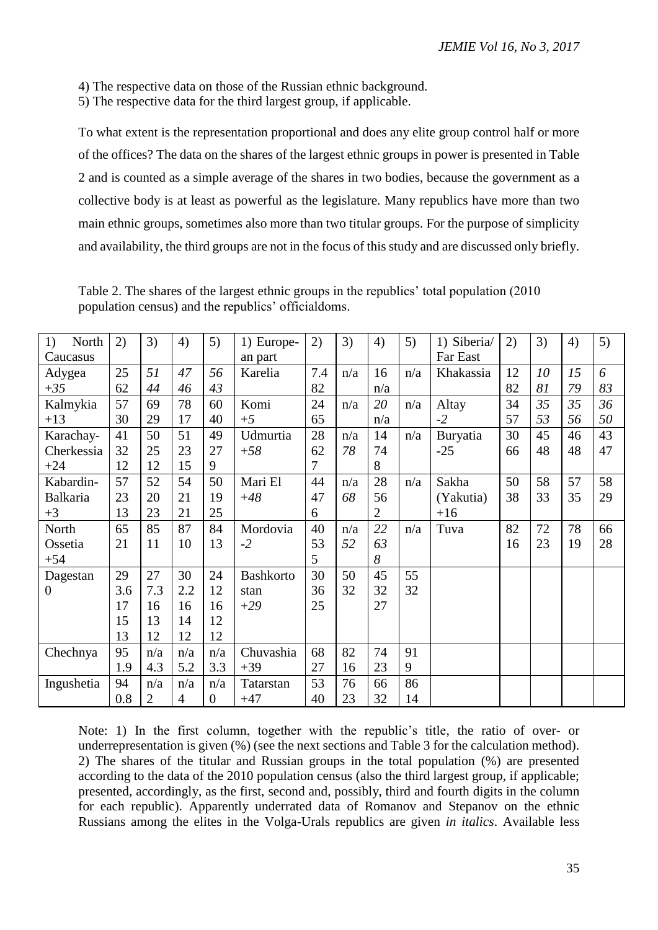4) The respective data on those of the Russian ethnic background.

5) The respective data for the third largest group, if applicable.

To what extent is the representation proportional and does any elite group control half or more of the offices? The data on the shares of the largest ethnic groups in power is presented in Table 2 and is counted as a simple average of the shares in two bodies, because the government as a collective body is at least as powerful as the legislature. Many republics have more than two main ethnic groups, sometimes also more than two titular groups. For the purpose of simplicity and availability, the third groups are not in the focus of this study and are discussed only briefly.

Table 2. The shares of the largest ethnic groups in the republics' total population (2010 population census) and the republics' officialdoms.

| North<br>1)     | 2)  | 3)             | 4)  | 5)             | 1) Europe-       | 2)  | 3)  | 4)             | 5)  | 1) Siberia/ | 2) | 3) | 4) | 5) |
|-----------------|-----|----------------|-----|----------------|------------------|-----|-----|----------------|-----|-------------|----|----|----|----|
| Caucasus        |     |                |     |                | an part          |     |     |                |     | Far East    |    |    |    |    |
| Adygea          | 25  | 51             | 47  | 56             | Karelia          | 7.4 | n/a | 16             | n/a | Khakassia   | 12 | 10 | 15 | 6  |
| $+35$           | 62  | 44             | 46  | 43             |                  | 82  |     | n/a            |     |             | 82 | 81 | 79 | 83 |
| Kalmykia        | 57  | 69             | 78  | 60             | Komi             | 24  | n/a | 20             | n/a | Altay       | 34 | 35 | 35 | 36 |
| $+13$           | 30  | 29             | 17  | 40             | $+5$             | 65  |     | n/a            |     | $-2$        | 57 | 53 | 56 | 50 |
| Karachay-       | 41  | 50             | 51  | 49             | Udmurtia         | 28  | n/a | 14             | n/a | Buryatia    | 30 | 45 | 46 | 43 |
| Cherkessia      | 32  | 25             | 23  | 27             | $+58$            | 62  | 78  | 74             |     | $-25$       | 66 | 48 | 48 | 47 |
| $+24$           | 12  | 12             | 15  | 9              |                  | 7   |     | 8              |     |             |    |    |    |    |
| Kabardin-       | 57  | 52             | 54  | 50             | Mari El          | 44  | n/a | 28             | n/a | Sakha       | 50 | 58 | 57 | 58 |
| <b>Balkaria</b> | 23  | 20             | 21  | 19             | $+48$            | 47  | 68  | 56             |     | (Yakutia)   | 38 | 33 | 35 | 29 |
| $+3$            | 13  | 23             | 21  | 25             |                  | 6   |     | $\overline{2}$ |     | $+16$       |    |    |    |    |
| North           | 65  | 85             | 87  | 84             | Mordovia         | 40  | n/a | 22             | n/a | Tuva        | 82 | 72 | 78 | 66 |
| Ossetia         | 21  | 11             | 10  | 13             | $-2$             | 53  | 52  | 63             |     |             | 16 | 23 | 19 | 28 |
| $+54$           |     |                |     |                |                  | 5   |     | 8              |     |             |    |    |    |    |
| Dagestan        | 29  | 27             | 30  | 24             | <b>Bashkorto</b> | 30  | 50  | 45             | 55  |             |    |    |    |    |
| $\overline{0}$  | 3.6 | 7.3            | 2.2 | 12             | stan             | 36  | 32  | 32             | 32  |             |    |    |    |    |
|                 | 17  | 16             | 16  | 16             | $+29$            | 25  |     | 27             |     |             |    |    |    |    |
|                 | 15  | 13             | 14  | 12             |                  |     |     |                |     |             |    |    |    |    |
|                 | 13  | 12             | 12  | 12             |                  |     |     |                |     |             |    |    |    |    |
| Chechnya        | 95  | n/a            | n/a | n/a            | Chuvashia        | 68  | 82  | 74             | 91  |             |    |    |    |    |
|                 | 1.9 | 4.3            | 5.2 | 3.3            | $+39$            | 27  | 16  | 23             | 9   |             |    |    |    |    |
| Ingushetia      | 94  | n/a            | n/a | n/a            | Tatarstan        | 53  | 76  | 66             | 86  |             |    |    |    |    |
|                 | 0.8 | $\overline{2}$ | 4   | $\overline{0}$ | $+47$            | 40  | 23  | 32             | 14  |             |    |    |    |    |

Note: 1) In the first column, together with the republic's title, the ratio of over- or underrepresentation is given (%) (see the next sections and Table 3 for the calculation method). 2) The shares of the titular and Russian groups in the total population (%) are presented according to the data of the 2010 population census (also the third largest group, if applicable; presented, accordingly, as the first, second and, possibly, third and fourth digits in the column for each republic). Apparently underrated data of Romanov and Stepanov on the ethnic Russians among the elites in the Volga-Urals republics are given *in italics*. Available less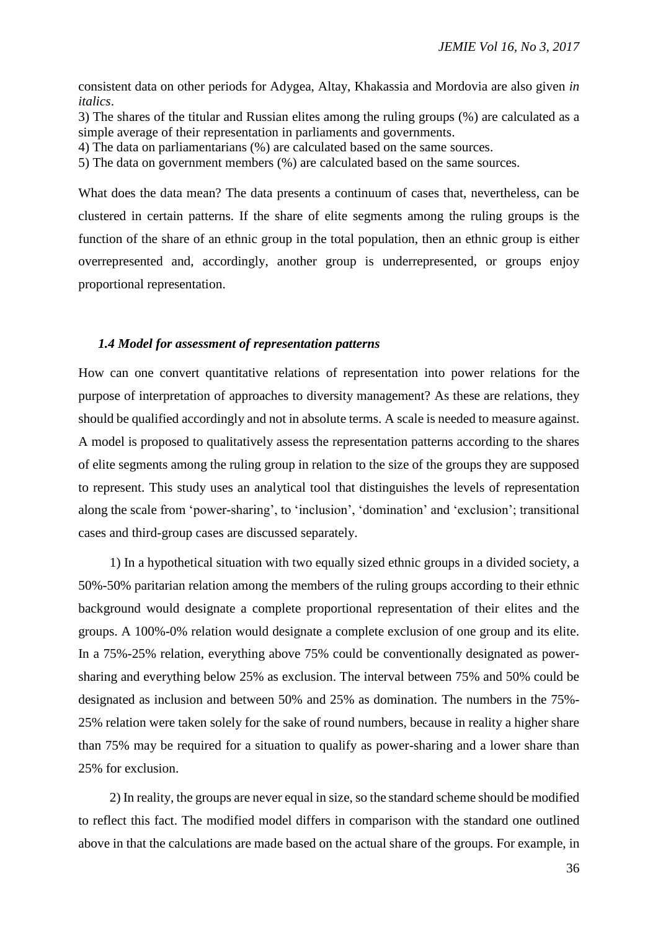consistent data on other periods for Adygea, Altay, Khakassia and Mordovia are also given *in italics*.

3) The shares of the titular and Russian elites among the ruling groups (%) are calculated as a simple average of their representation in parliaments and governments.

4) The data on parliamentarians (%) are calculated based on the same sources.

5) The data on government members (%) are calculated based on the same sources.

What does the data mean? The data presents a continuum of cases that, nevertheless, can be clustered in certain patterns. If the share of elite segments among the ruling groups is the function of the share of an ethnic group in the total population, then an ethnic group is either overrepresented and, accordingly, another group is underrepresented, or groups enjoy proportional representation.

## *1.4 Model for assessment of representation patterns*

How can one convert quantitative relations of representation into power relations for the purpose of interpretation of approaches to diversity management? As these are relations, they should be qualified accordingly and not in absolute terms. A scale is needed to measure against. A model is proposed to qualitatively assess the representation patterns according to the shares of elite segments among the ruling group in relation to the size of the groups they are supposed to represent. This study uses an analytical tool that distinguishes the levels of representation along the scale from 'power-sharing', to 'inclusion', 'domination' and 'exclusion'; transitional cases and third-group cases are discussed separately.

1) In a hypothetical situation with two equally sized ethnic groups in a divided society, a 50%-50% paritarian relation among the members of the ruling groups according to their ethnic background would designate a complete proportional representation of their elites and the groups. A 100%-0% relation would designate a complete exclusion of one group and its elite. In a 75%-25% relation, everything above 75% could be conventionally designated as powersharing and everything below 25% as exclusion. The interval between 75% and 50% could be designated as inclusion and between 50% and 25% as domination. The numbers in the 75%- 25% relation were taken solely for the sake of round numbers, because in reality a higher share than 75% may be required for a situation to qualify as power-sharing and a lower share than 25% for exclusion.

2) In reality, the groups are never equal in size, so the standard scheme should be modified to reflect this fact. The modified model differs in comparison with the standard one outlined above in that the calculations are made based on the actual share of the groups. For example, in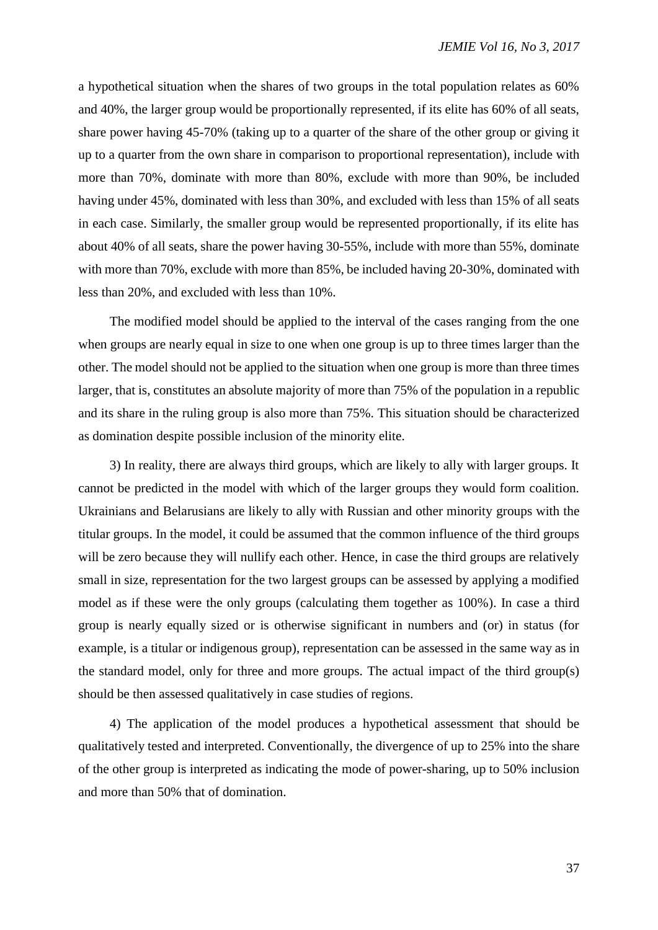a hypothetical situation when the shares of two groups in the total population relates as 60% and 40%, the larger group would be proportionally represented, if its elite has 60% of all seats, share power having 45-70% (taking up to a quarter of the share of the other group or giving it up to a quarter from the own share in comparison to proportional representation), include with more than 70%, dominate with more than 80%, exclude with more than 90%, be included having under 45%, dominated with less than 30%, and excluded with less than 15% of all seats in each case. Similarly, the smaller group would be represented proportionally, if its elite has about 40% of all seats, share the power having 30-55%, include with more than 55%, dominate with more than 70%, exclude with more than 85%, be included having 20-30%, dominated with less than 20%, and excluded with less than 10%.

The modified model should be applied to the interval of the cases ranging from the one when groups are nearly equal in size to one when one group is up to three times larger than the other. The model should not be applied to the situation when one group is more than three times larger, that is, constitutes an absolute majority of more than 75% of the population in a republic and its share in the ruling group is also more than 75%. This situation should be characterized as domination despite possible inclusion of the minority elite.

3) In reality, there are always third groups, which are likely to ally with larger groups. It cannot be predicted in the model with which of the larger groups they would form coalition. Ukrainians and Belarusians are likely to ally with Russian and other minority groups with the titular groups. In the model, it could be assumed that the common influence of the third groups will be zero because they will nullify each other. Hence, in case the third groups are relatively small in size, representation for the two largest groups can be assessed by applying a modified model as if these were the only groups (calculating them together as 100%). In case a third group is nearly equally sized or is otherwise significant in numbers and (or) in status (for example, is a titular or indigenous group), representation can be assessed in the same way as in the standard model, only for three and more groups. The actual impact of the third group(s) should be then assessed qualitatively in case studies of regions.

4) The application of the model produces a hypothetical assessment that should be qualitatively tested and interpreted. Conventionally, the divergence of up to 25% into the share of the other group is interpreted as indicating the mode of power-sharing, up to 50% inclusion and more than 50% that of domination.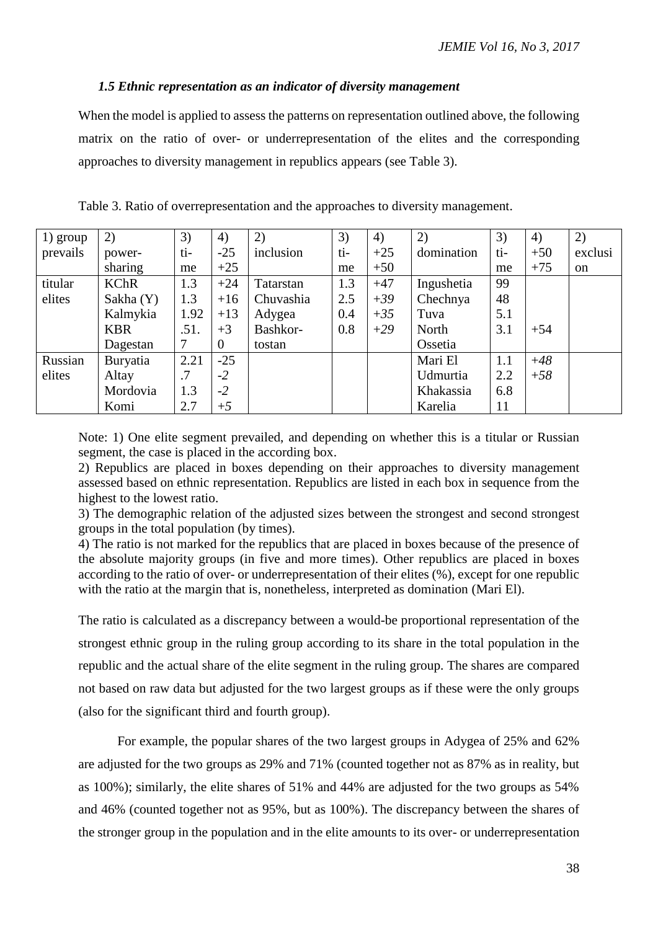# *1.5 Ethnic representation as an indicator of diversity management*

When the model is applied to assess the patterns on representation outlined above, the following matrix on the ratio of over- or underrepresentation of the elites and the corresponding approaches to diversity management in republics appears (see Table 3).

| 1) group | 2)          | 3)   | 4)       | 2)        | 3)  | 4)    | 2)         | 3)  | 4)    | 2)            |
|----------|-------------|------|----------|-----------|-----|-------|------------|-----|-------|---------------|
| prevails | power-      | ti-  | $-25$    | inclusion | ti- | $+25$ | domination | ti- | $+50$ | exclusi       |
|          | sharing     | me   | $+25$    |           | me  | $+50$ |            | me  | $+75$ | <sub>on</sub> |
| titular  | <b>KChR</b> | 1.3  | $+24$    | Tatarstan | 1.3 | $+47$ | Ingushetia | 99  |       |               |
| elites   | Sakha (Y)   | 1.3  | $+16$    | Chuvashia | 2.5 | $+39$ | Chechnya   | 48  |       |               |
|          | Kalmykia    | 1.92 | $+13$    | Adygea    | 0.4 | $+35$ | Tuva       | 5.1 |       |               |
|          | <b>KBR</b>  | .51. | $+3$     | Bashkor-  | 0.8 | $+29$ | North      | 3.1 | $+54$ |               |
|          | Dagestan    |      | $\theta$ | tostan    |     |       | Ossetia    |     |       |               |
| Russian  | Buryatia    | 2.21 | $-25$    |           |     |       | Mari El    | 1.1 | $+48$ |               |
| elites   | Altay       | .7   | $-2$     |           |     |       | Udmurtia   | 2.2 | $+58$ |               |
|          | Mordovia    | 1.3  | $-2$     |           |     |       | Khakassia  | 6.8 |       |               |
|          | Komi        | 2.7  | $+5$     |           |     |       | Karelia    | 11  |       |               |

Table 3. Ratio of overrepresentation and the approaches to diversity management.

Note: 1) One elite segment prevailed, and depending on whether this is a titular or Russian segment, the case is placed in the according box.

2) Republics are placed in boxes depending on their approaches to diversity management assessed based on ethnic representation. Republics are listed in each box in sequence from the highest to the lowest ratio.

3) The demographic relation of the adjusted sizes between the strongest and second strongest groups in the total population (by times).

4) The ratio is not marked for the republics that are placed in boxes because of the presence of the absolute majority groups (in five and more times). Other republics are placed in boxes according to the ratio of over- or underrepresentation of their elites (%), except for one republic with the ratio at the margin that is, nonetheless, interpreted as domination (Mari El).

The ratio is calculated as a discrepancy between a would-be proportional representation of the strongest ethnic group in the ruling group according to its share in the total population in the republic and the actual share of the elite segment in the ruling group. The shares are compared not based on raw data but adjusted for the two largest groups as if these were the only groups (also for the significant third and fourth group).

For example, the popular shares of the two largest groups in Adygea of 25% and 62% are adjusted for the two groups as 29% and 71% (counted together not as 87% as in reality, but as 100%); similarly, the elite shares of 51% and 44% are adjusted for the two groups as 54% and 46% (counted together not as 95%, but as 100%). The discrepancy between the shares of the stronger group in the population and in the elite amounts to its over- or underrepresentation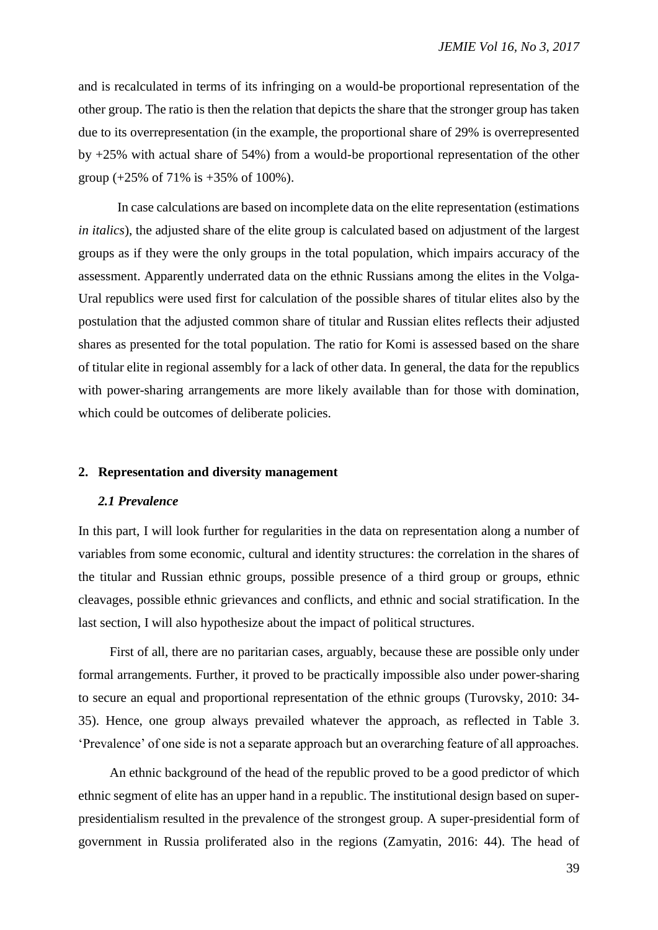and is recalculated in terms of its infringing on a would-be proportional representation of the other group. The ratio is then the relation that depicts the share that the stronger group has taken due to its overrepresentation (in the example, the proportional share of 29% is overrepresented by +25% with actual share of 54%) from a would-be proportional representation of the other group (+25% of 71% is +35% of 100%).

In case calculations are based on incomplete data on the elite representation (estimations *in italics*), the adjusted share of the elite group is calculated based on adjustment of the largest groups as if they were the only groups in the total population, which impairs accuracy of the assessment. Apparently underrated data on the ethnic Russians among the elites in the Volga-Ural republics were used first for calculation of the possible shares of titular elites also by the postulation that the adjusted common share of titular and Russian elites reflects their adjusted shares as presented for the total population. The ratio for Komi is assessed based on the share of titular elite in regional assembly for a lack of other data. In general, the data for the republics with power-sharing arrangements are more likely available than for those with domination, which could be outcomes of deliberate policies.

# **2. Representation and diversity management**

# *2.1 Prevalence*

In this part, I will look further for regularities in the data on representation along a number of variables from some economic, cultural and identity structures: the correlation in the shares of the titular and Russian ethnic groups, possible presence of a third group or groups, ethnic cleavages, possible ethnic grievances and conflicts, and ethnic and social stratification. In the last section, I will also hypothesize about the impact of political structures.

First of all, there are no paritarian cases, arguably, because these are possible only under formal arrangements. Further, it proved to be practically impossible also under power-sharing to secure an equal and proportional representation of the ethnic groups (Turovsky, 2010: 34- 35). Hence, one group always prevailed whatever the approach, as reflected in Table 3. 'Prevalence' of one side is not a separate approach but an overarching feature of all approaches.

An ethnic background of the head of the republic proved to be a good predictor of which ethnic segment of elite has an upper hand in a republic. The institutional design based on superpresidentialism resulted in the prevalence of the strongest group. A super-presidential form of government in Russia proliferated also in the regions (Zamyatin, 2016: 44). The head of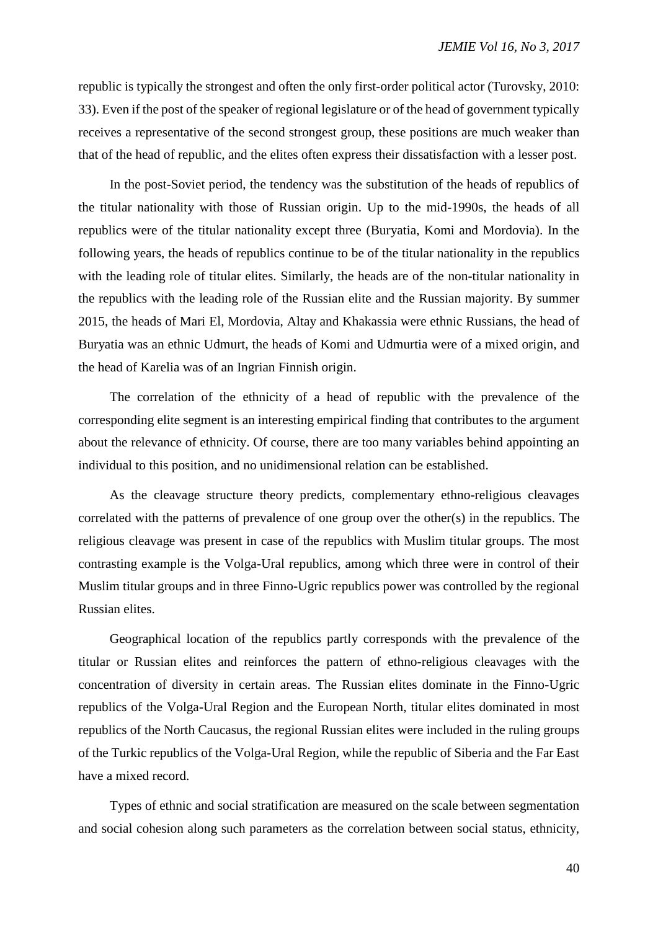republic is typically the strongest and often the only first-order political actor (Turovsky, 2010: 33). Even if the post of the speaker of regional legislature or of the head of government typically receives a representative of the second strongest group, these positions are much weaker than that of the head of republic, and the elites often express their dissatisfaction with a lesser post.

In the post-Soviet period, the tendency was the substitution of the heads of republics of the titular nationality with those of Russian origin. Up to the mid-1990s, the heads of all republics were of the titular nationality except three (Buryatia, Komi and Mordovia). In the following years, the heads of republics continue to be of the titular nationality in the republics with the leading role of titular elites. Similarly, the heads are of the non-titular nationality in the republics with the leading role of the Russian elite and the Russian majority. By summer 2015, the heads of Mari El, Mordovia, Altay and Khakassia were ethnic Russians, the head of Buryatia was an ethnic Udmurt, the heads of Komi and Udmurtia were of a mixed origin, and the head of Karelia was of an Ingrian Finnish origin.

The correlation of the ethnicity of a head of republic with the prevalence of the corresponding elite segment is an interesting empirical finding that contributes to the argument about the relevance of ethnicity. Of course, there are too many variables behind appointing an individual to this position, and no unidimensional relation can be established.

As the cleavage structure theory predicts, complementary ethno-religious cleavages correlated with the patterns of prevalence of one group over the other(s) in the republics. The religious cleavage was present in case of the republics with Muslim titular groups. The most contrasting example is the Volga-Ural republics, among which three were in control of their Muslim titular groups and in three Finno-Ugric republics power was controlled by the regional Russian elites.

Geographical location of the republics partly corresponds with the prevalence of the titular or Russian elites and reinforces the pattern of ethno-religious cleavages with the concentration of diversity in certain areas. The Russian elites dominate in the Finno-Ugric republics of the Volga-Ural Region and the European North, titular elites dominated in most republics of the North Caucasus, the regional Russian elites were included in the ruling groups of the Turkic republics of the Volga-Ural Region, while the republic of Siberia and the Far East have a mixed record.

Types of ethnic and social stratification are measured on the scale between segmentation and social cohesion along such parameters as the correlation between social status, ethnicity,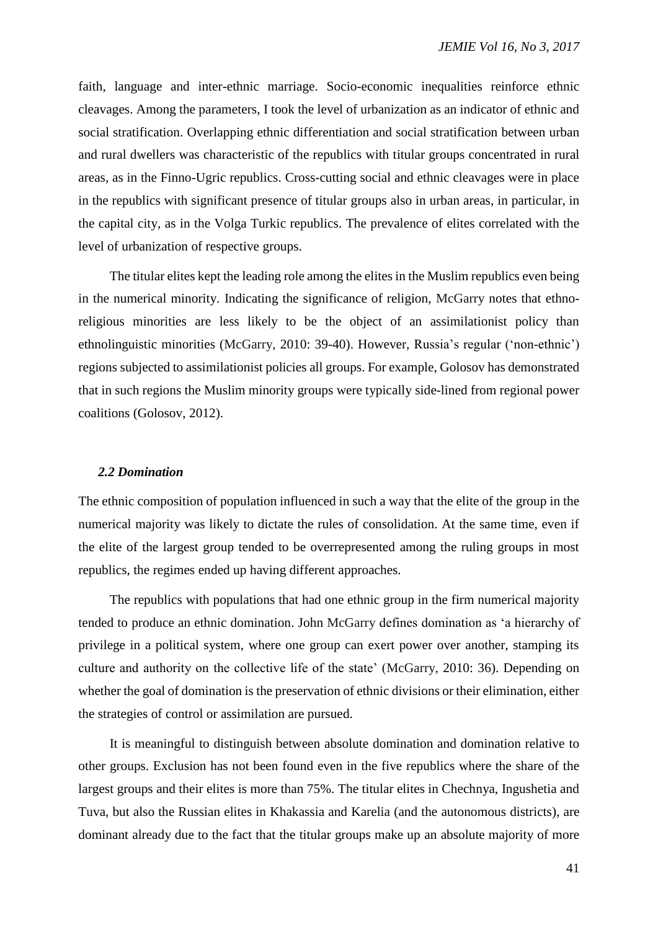faith, language and inter-ethnic marriage. Socio-economic inequalities reinforce ethnic cleavages. Among the parameters, I took the level of urbanization as an indicator of ethnic and social stratification. Overlapping ethnic differentiation and social stratification between urban and rural dwellers was characteristic of the republics with titular groups concentrated in rural areas, as in the Finno-Ugric republics. Cross-cutting social and ethnic cleavages were in place in the republics with significant presence of titular groups also in urban areas, in particular, in the capital city, as in the Volga Turkic republics. The prevalence of elites correlated with the level of urbanization of respective groups.

The titular elites kept the leading role among the elites in the Muslim republics even being in the numerical minority. Indicating the significance of religion, McGarry notes that ethnoreligious minorities are less likely to be the object of an assimilationist policy than ethnolinguistic minorities (McGarry, 2010: 39-40). However, Russia's regular ('non-ethnic') regions subjected to assimilationist policies all groups. For example, Golosov has demonstrated that in such regions the Muslim minority groups were typically side-lined from regional power coalitions (Golosov, 2012).

# *2.2 Domination*

The ethnic composition of population influenced in such a way that the elite of the group in the numerical majority was likely to dictate the rules of consolidation. At the same time, even if the elite of the largest group tended to be overrepresented among the ruling groups in most republics, the regimes ended up having different approaches.

The republics with populations that had one ethnic group in the firm numerical majority tended to produce an ethnic domination. John McGarry defines domination as 'a hierarchy of privilege in a political system, where one group can exert power over another, stamping its culture and authority on the collective life of the state' (McGarry, 2010: 36). Depending on whether the goal of domination is the preservation of ethnic divisions or their elimination, either the strategies of control or assimilation are pursued.

It is meaningful to distinguish between absolute domination and domination relative to other groups. Exclusion has not been found even in the five republics where the share of the largest groups and their elites is more than 75%. The titular elites in Chechnya, Ingushetia and Tuva, but also the Russian elites in Khakassia and Karelia (and the autonomous districts), are dominant already due to the fact that the titular groups make up an absolute majority of more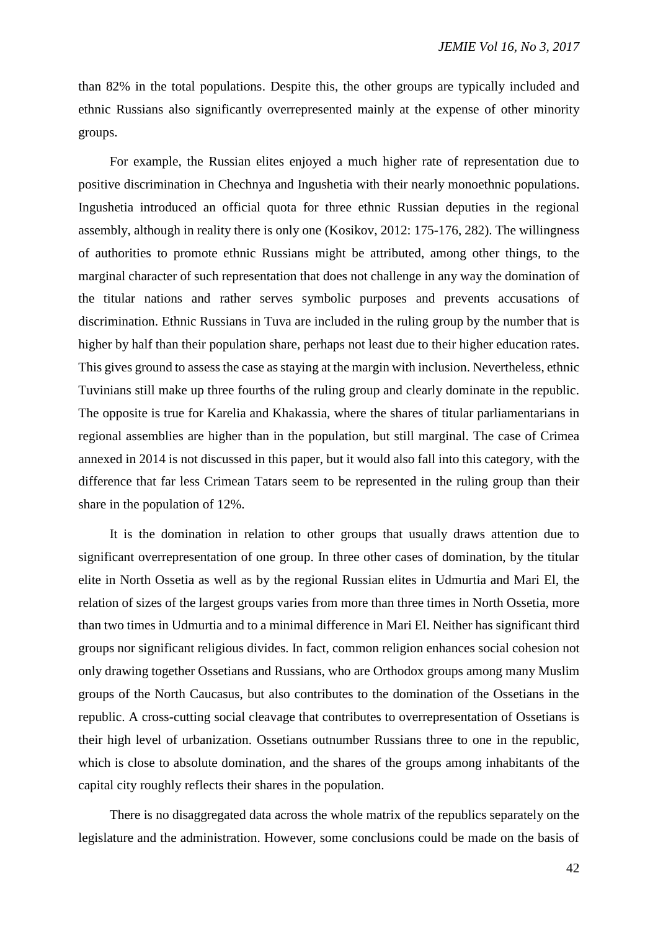than 82% in the total populations. Despite this, the other groups are typically included and ethnic Russians also significantly overrepresented mainly at the expense of other minority groups.

For example, the Russian elites enjoyed a much higher rate of representation due to positive discrimination in Chechnya and Ingushetia with their nearly monoethnic populations. Ingushetia introduced an official quota for three ethnic Russian deputies in the regional assembly, although in reality there is only one (Kosikov, 2012: 175-176, 282). The willingness of authorities to promote ethnic Russians might be attributed, among other things, to the marginal character of such representation that does not challenge in any way the domination of the titular nations and rather serves symbolic purposes and prevents accusations of discrimination. Ethnic Russians in Tuva are included in the ruling group by the number that is higher by half than their population share, perhaps not least due to their higher education rates. This gives ground to assess the case as staying at the margin with inclusion. Nevertheless, ethnic Tuvinians still make up three fourths of the ruling group and clearly dominate in the republic. The opposite is true for Karelia and Khakassia, where the shares of titular parliamentarians in regional assemblies are higher than in the population, but still marginal. The case of Crimea annexed in 2014 is not discussed in this paper, but it would also fall into this category, with the difference that far less Crimean Tatars seem to be represented in the ruling group than their share in the population of 12%.

It is the domination in relation to other groups that usually draws attention due to significant overrepresentation of one group. In three other cases of domination, by the titular elite in North Ossetia as well as by the regional Russian elites in Udmurtia and Mari El, the relation of sizes of the largest groups varies from more than three times in North Ossetia, more than two times in Udmurtia and to a minimal difference in Mari El. Neither has significant third groups nor significant religious divides. In fact, common religion enhances social cohesion not only drawing together Ossetians and Russians, who are Orthodox groups among many Muslim groups of the North Caucasus, but also contributes to the domination of the Ossetians in the republic. A cross-cutting social cleavage that contributes to overrepresentation of Ossetians is their high level of urbanization. Ossetians outnumber Russians three to one in the republic, which is close to absolute domination, and the shares of the groups among inhabitants of the capital city roughly reflects their shares in the population.

There is no disaggregated data across the whole matrix of the republics separately on the legislature and the administration. However, some conclusions could be made on the basis of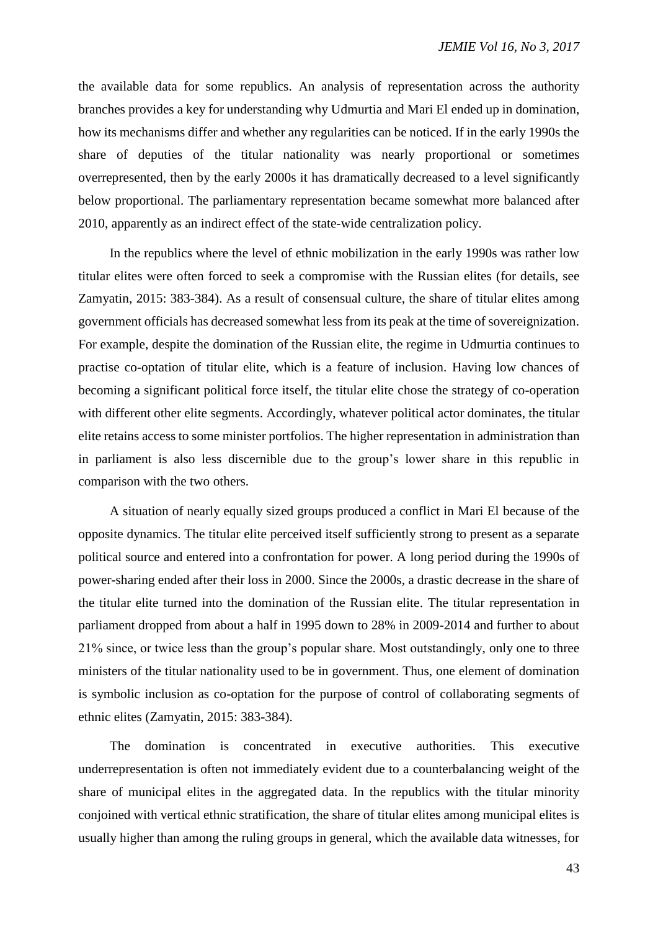the available data for some republics. An analysis of representation across the authority branches provides a key for understanding why Udmurtia and Mari El ended up in domination, how its mechanisms differ and whether any regularities can be noticed. If in the early 1990s the share of deputies of the titular nationality was nearly proportional or sometimes overrepresented, then by the early 2000s it has dramatically decreased to a level significantly below proportional. The parliamentary representation became somewhat more balanced after 2010, apparently as an indirect effect of the state-wide centralization policy.

In the republics where the level of ethnic mobilization in the early 1990s was rather low titular elites were often forced to seek a compromise with the Russian elites (for details, see Zamyatin, 2015: 383-384). As a result of consensual culture, the share of titular elites among government officials has decreased somewhat less from its peak at the time of sovereignization. For example, despite the domination of the Russian elite, the regime in Udmurtia continues to practise co-optation of titular elite, which is a feature of inclusion. Having low chances of becoming a significant political force itself, the titular elite chose the strategy of co-operation with different other elite segments. Accordingly, whatever political actor dominates, the titular elite retains access to some minister portfolios. The higher representation in administration than in parliament is also less discernible due to the group's lower share in this republic in comparison with the two others.

A situation of nearly equally sized groups produced a conflict in Mari El because of the opposite dynamics. The titular elite perceived itself sufficiently strong to present as a separate political source and entered into a confrontation for power. A long period during the 1990s of power-sharing ended after their loss in 2000. Since the 2000s, a drastic decrease in the share of the titular elite turned into the domination of the Russian elite. The titular representation in parliament dropped from about a half in 1995 down to 28% in 2009-2014 and further to about 21% since, or twice less than the group's popular share. Most outstandingly, only one to three ministers of the titular nationality used to be in government. Thus, one element of domination is symbolic inclusion as co-optation for the purpose of control of collaborating segments of ethnic elites (Zamyatin, 2015: 383-384).

The domination is concentrated in executive authorities. This executive underrepresentation is often not immediately evident due to a counterbalancing weight of the share of municipal elites in the aggregated data. In the republics with the titular minority conjoined with vertical ethnic stratification, the share of titular elites among municipal elites is usually higher than among the ruling groups in general, which the available data witnesses, for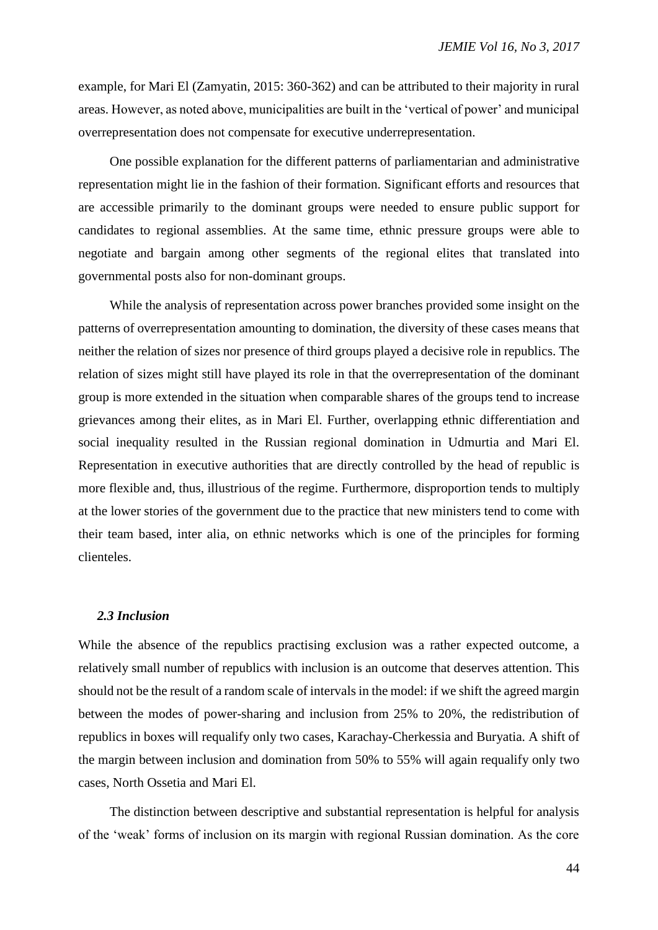example, for Mari El (Zamyatin, 2015: 360-362) and can be attributed to their majority in rural areas. However, as noted above, municipalities are built in the 'vertical of power' and municipal overrepresentation does not compensate for executive underrepresentation.

One possible explanation for the different patterns of parliamentarian and administrative representation might lie in the fashion of their formation. Significant efforts and resources that are accessible primarily to the dominant groups were needed to ensure public support for candidates to regional assemblies. At the same time, ethnic pressure groups were able to negotiate and bargain among other segments of the regional elites that translated into governmental posts also for non-dominant groups.

While the analysis of representation across power branches provided some insight on the patterns of overrepresentation amounting to domination, the diversity of these cases means that neither the relation of sizes nor presence of third groups played a decisive role in republics. The relation of sizes might still have played its role in that the overrepresentation of the dominant group is more extended in the situation when comparable shares of the groups tend to increase grievances among their elites, as in Mari El. Further, overlapping ethnic differentiation and social inequality resulted in the Russian regional domination in Udmurtia and Mari El. Representation in executive authorities that are directly controlled by the head of republic is more flexible and, thus, illustrious of the regime. Furthermore, disproportion tends to multiply at the lower stories of the government due to the practice that new ministers tend to come with their team based, inter alia, on ethnic networks which is one of the principles for forming clienteles.

#### *2.3 Inclusion*

While the absence of the republics practising exclusion was a rather expected outcome, a relatively small number of republics with inclusion is an outcome that deserves attention. This should not be the result of a random scale of intervals in the model: if we shift the agreed margin between the modes of power-sharing and inclusion from 25% to 20%, the redistribution of republics in boxes will requalify only two cases, Karachay-Cherkessia and Buryatia. A shift of the margin between inclusion and domination from 50% to 55% will again requalify only two cases, North Ossetia and Mari El.

The distinction between descriptive and substantial representation is helpful for analysis of the 'weak' forms of inclusion on its margin with regional Russian domination. As the core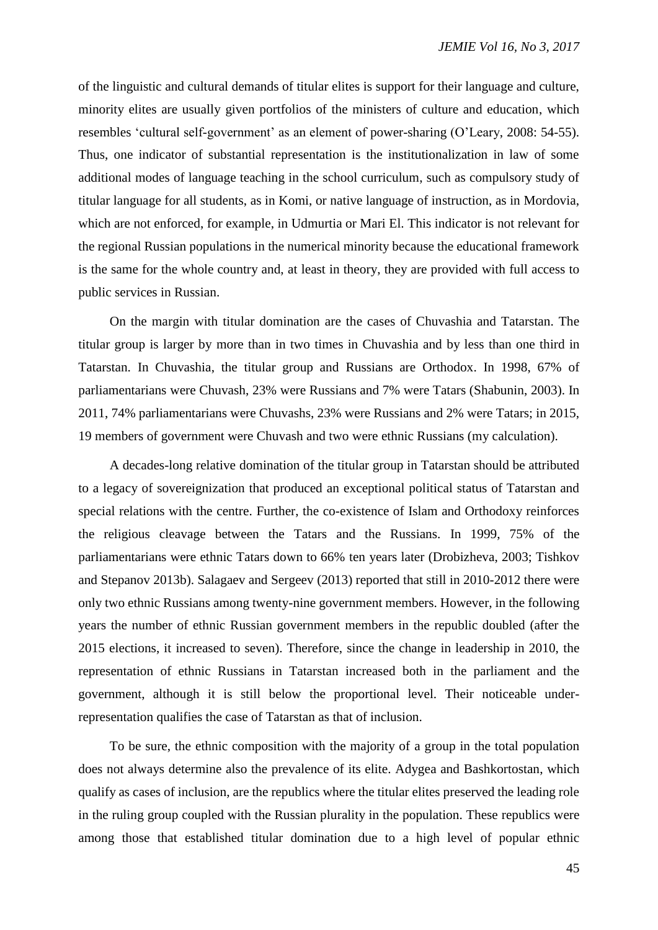of the linguistic and cultural demands of titular elites is support for their language and culture, minority elites are usually given portfolios of the ministers of culture and education, which resembles 'cultural self-government' as an element of power-sharing (O'Leary, 2008: 54-55). Thus, one indicator of substantial representation is the institutionalization in law of some additional modes of language teaching in the school curriculum, such as compulsory study of titular language for all students, as in Komi, or native language of instruction, as in Mordovia, which are not enforced, for example, in Udmurtia or Mari El. This indicator is not relevant for the regional Russian populations in the numerical minority because the educational framework is the same for the whole country and, at least in theory, they are provided with full access to public services in Russian.

On the margin with titular domination are the cases of Chuvashia and Tatarstan. The titular group is larger by more than in two times in Chuvashia and by less than one third in Tatarstan. In Chuvashia, the titular group and Russians are Orthodox. In 1998, 67% of parliamentarians were Chuvash, 23% were Russians and 7% were Tatars (Shabunin, 2003). In 2011, 74% parliamentarians were Chuvashs, 23% were Russians and 2% were Tatars; in 2015, 19 members of government were Chuvash and two were ethnic Russians (my calculation).

A decades-long relative domination of the titular group in Tatarstan should be attributed to a legacy of sovereignization that produced an exceptional political status of Tatarstan and special relations with the centre. Further, the co-existence of Islam and Orthodoxy reinforces the religious cleavage between the Tatars and the Russians. In 1999, 75% of the parliamentarians were ethnic Tatars down to 66% ten years later (Drobizheva, 2003; Tishkov and Stepanov 2013b). Salagaev and Sergeev (2013) reported that still in 2010-2012 there were only two ethnic Russians among twenty-nine government members. However, in the following years the number of ethnic Russian government members in the republic doubled (after the 2015 elections, it increased to seven). Therefore, since the change in leadership in 2010, the representation of ethnic Russians in Tatarstan increased both in the parliament and the government, although it is still below the proportional level. Their noticeable underrepresentation qualifies the case of Tatarstan as that of inclusion.

To be sure, the ethnic composition with the majority of a group in the total population does not always determine also the prevalence of its elite. Adygea and Bashkortostan, which qualify as cases of inclusion, are the republics where the titular elites preserved the leading role in the ruling group coupled with the Russian plurality in the population. These republics were among those that established titular domination due to a high level of popular ethnic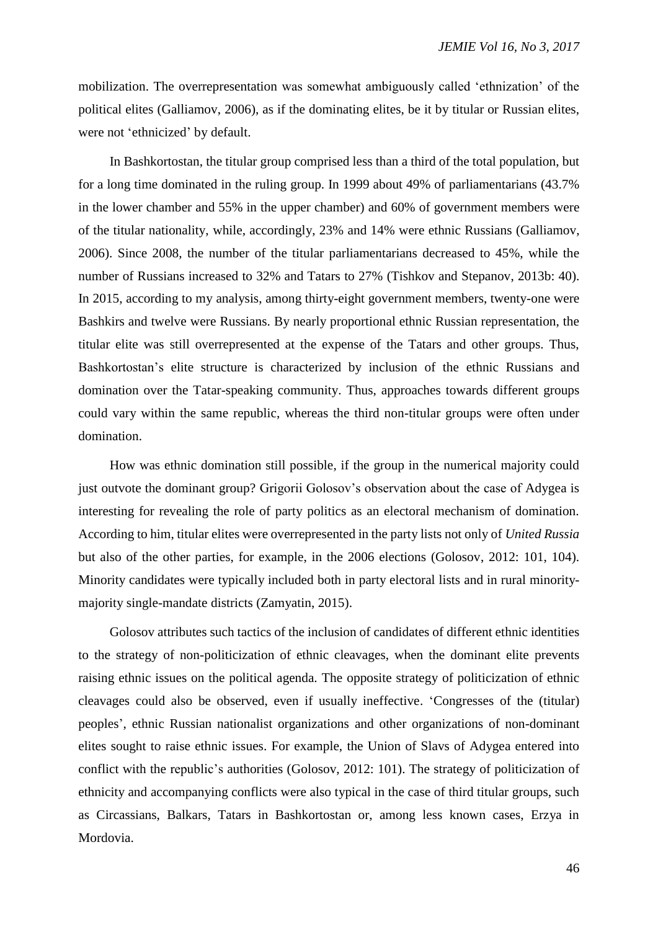mobilization. The overrepresentation was somewhat ambiguously called 'ethnization' of the political elites (Galliamov, 2006), as if the dominating elites, be it by titular or Russian elites, were not 'ethnicized' by default.

In Bashkortostan, the titular group comprised less than a third of the total population, but for a long time dominated in the ruling group. In 1999 about 49% of parliamentarians (43.7% in the lower chamber and 55% in the upper chamber) and 60% of government members were of the titular nationality, while, accordingly, 23% and 14% were ethnic Russians (Galliamov, 2006). Since 2008, the number of the titular parliamentarians decreased to 45%, while the number of Russians increased to 32% and Tatars to 27% (Tishkov and Stepanov, 2013b: 40). In 2015, according to my analysis, among thirty-eight government members, twenty-one were Bashkirs and twelve were Russians. By nearly proportional ethnic Russian representation, the titular elite was still overrepresented at the expense of the Tatars and other groups. Thus, Bashkortostan's elite structure is characterized by inclusion of the ethnic Russians and domination over the Tatar-speaking community. Thus, approaches towards different groups could vary within the same republic, whereas the third non-titular groups were often under domination.

How was ethnic domination still possible, if the group in the numerical majority could just outvote the dominant group? Grigorii Golosov's observation about the case of Adygea is interesting for revealing the role of party politics as an electoral mechanism of domination. According to him, titular elites were overrepresented in the party lists not only of *United Russia* but also of the other parties, for example, in the 2006 elections (Golosov, 2012: 101, 104). Minority candidates were typically included both in party electoral lists and in rural minoritymajority single-mandate districts (Zamyatin, 2015).

Golosov attributes such tactics of the inclusion of candidates of different ethnic identities to the strategy of non-politicization of ethnic cleavages, when the dominant elite prevents raising ethnic issues on the political agenda. The opposite strategy of politicization of ethnic cleavages could also be observed, even if usually ineffective. 'Congresses of the (titular) peoples', ethnic Russian nationalist organizations and other organizations of non-dominant elites sought to raise ethnic issues. For example, the Union of Slavs of Adygea entered into conflict with the republic's authorities (Golosov, 2012: 101). The strategy of politicization of ethnicity and accompanying conflicts were also typical in the case of third titular groups, such as Circassians, Balkars, Tatars in Bashkortostan or, among less known cases, Erzya in Mordovia.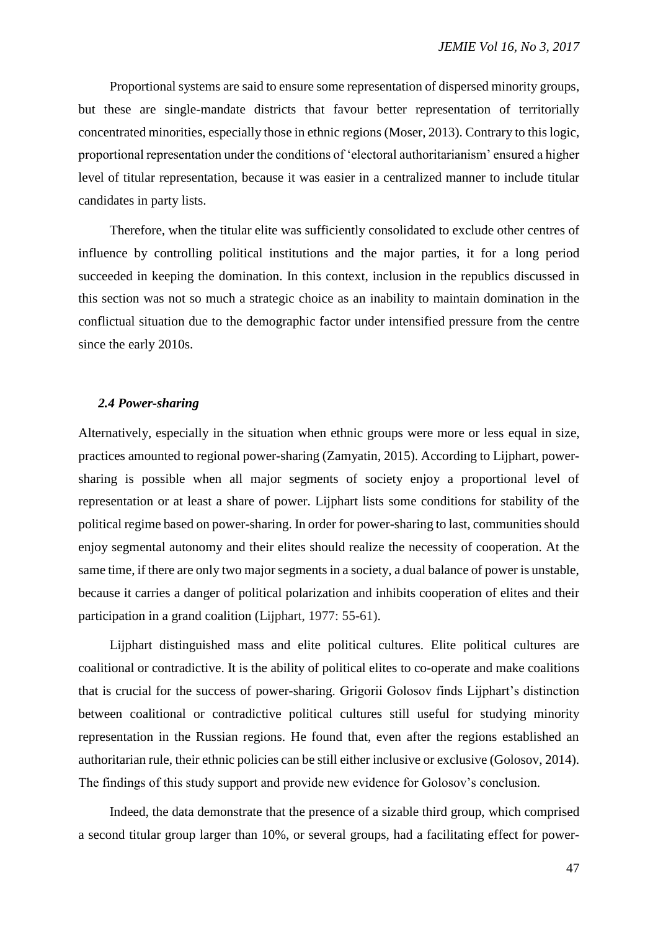Proportional systems are said to ensure some representation of dispersed minority groups, but these are single-mandate districts that favour better representation of territorially concentrated minorities, especially those in ethnic regions (Moser, 2013). Contrary to this logic, proportional representation under the conditions of 'electoral authoritarianism' ensured a higher level of titular representation, because it was easier in a centralized manner to include titular candidates in party lists.

Therefore, when the titular elite was sufficiently consolidated to exclude other centres of influence by controlling political institutions and the major parties, it for a long period succeeded in keeping the domination. In this context, inclusion in the republics discussed in this section was not so much a strategic choice as an inability to maintain domination in the conflictual situation due to the demographic factor under intensified pressure from the centre since the early 2010s.

#### *2.4 Power-sharing*

Alternatively, especially in the situation when ethnic groups were more or less equal in size, practices amounted to regional power-sharing (Zamyatin, 2015). According to Lijphart, powersharing is possible when all major segments of society enjoy a proportional level of representation or at least a share of power. Lijphart lists some conditions for stability of the political regime based on power-sharing. In order for power-sharing to last, communities should enjoy segmental autonomy and their elites should realize the necessity of cooperation. At the same time, if there are only two major segments in a society, a dual balance of power is unstable, because it carries a danger of political polarization and inhibits cooperation of elites and their participation in a grand coalition (Lijphart, 1977: 55-61).

Lijphart distinguished mass and elite political cultures. Elite political cultures are coalitional or contradictive. It is the ability of political elites to co-operate and make coalitions that is crucial for the success of power-sharing. Grigorii Golosov finds Lijphart's distinction between coalitional or contradictive political cultures still useful for studying minority representation in the Russian regions. He found that, even after the regions established an authoritarian rule, their ethnic policies can be still either inclusive or exclusive (Golosov, 2014). The findings of this study support and provide new evidence for Golosov's conclusion.

Indeed, the data demonstrate that the presence of a sizable third group, which comprised a second titular group larger than 10%, or several groups, had a facilitating effect for power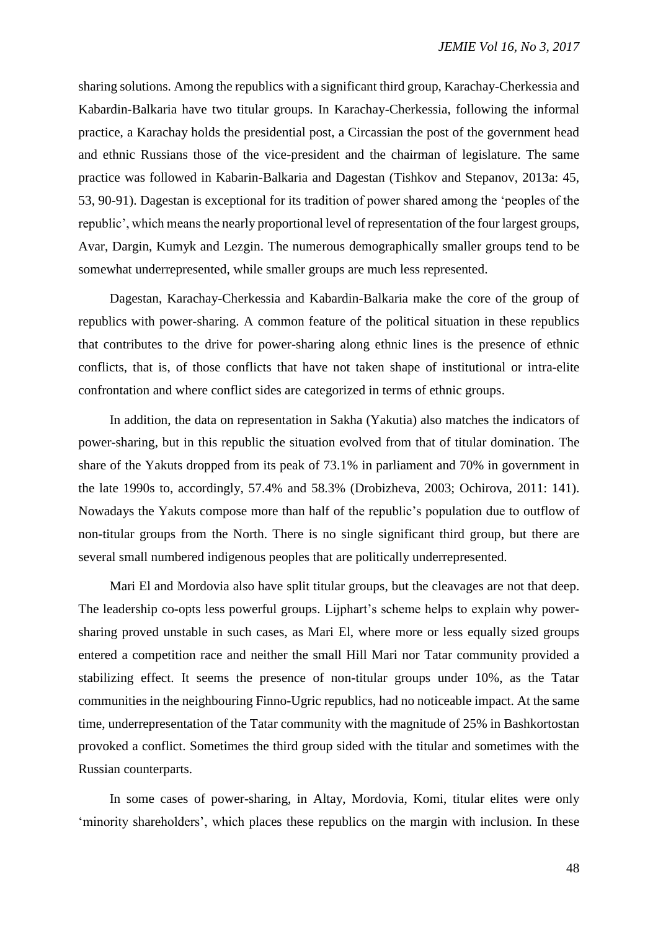sharing solutions. Among the republics with a significant third group, Karachay-Cherkessia and Kabardin-Balkaria have two titular groups. In Karachay-Cherkessia, following the informal practice, a Karachay holds the presidential post, a Circassian the post of the government head and ethnic Russians those of the vice-president and the chairman of legislature. The same practice was followed in Kabarin-Balkaria and Dagestan (Tishkov and Stepanov, 2013a: 45, 53, 90-91). Dagestan is exceptional for its tradition of power shared among the 'peoples of the republic', which means the nearly proportional level of representation of the four largest groups, Avar, Dargin, Kumyk and Lezgin. The numerous demographically smaller groups tend to be somewhat underrepresented, while smaller groups are much less represented.

Dagestan, Karachay-Cherkessia and Kabardin-Balkaria make the core of the group of republics with power-sharing. A common feature of the political situation in these republics that contributes to the drive for power-sharing along ethnic lines is the presence of ethnic conflicts, that is, of those conflicts that have not taken shape of institutional or intra-elite confrontation and where conflict sides are categorized in terms of ethnic groups.

In addition, the data on representation in Sakha (Yakutia) also matches the indicators of power-sharing, but in this republic the situation evolved from that of titular domination. The share of the Yakuts dropped from its peak of 73.1% in parliament and 70% in government in the late 1990s to, accordingly, 57.4% and 58.3% (Drobizheva, 2003; Ochirova, 2011: 141). Nowadays the Yakuts compose more than half of the republic's population due to outflow of non-titular groups from the North. There is no single significant third group, but there are several small numbered indigenous peoples that are politically underrepresented.

Mari El and Mordovia also have split titular groups, but the cleavages are not that deep. The leadership co-opts less powerful groups. Lijphart's scheme helps to explain why powersharing proved unstable in such cases, as Mari El, where more or less equally sized groups entered a competition race and neither the small Hill Mari nor Tatar community provided a stabilizing effect. It seems the presence of non-titular groups under 10%, as the Tatar communities in the neighbouring Finno-Ugric republics, had no noticeable impact. At the same time, underrepresentation of the Tatar community with the magnitude of 25% in Bashkortostan provoked a conflict. Sometimes the third group sided with the titular and sometimes with the Russian counterparts.

In some cases of power-sharing, in Altay, Mordovia, Komi, titular elites were only 'minority shareholders', which places these republics on the margin with inclusion. In these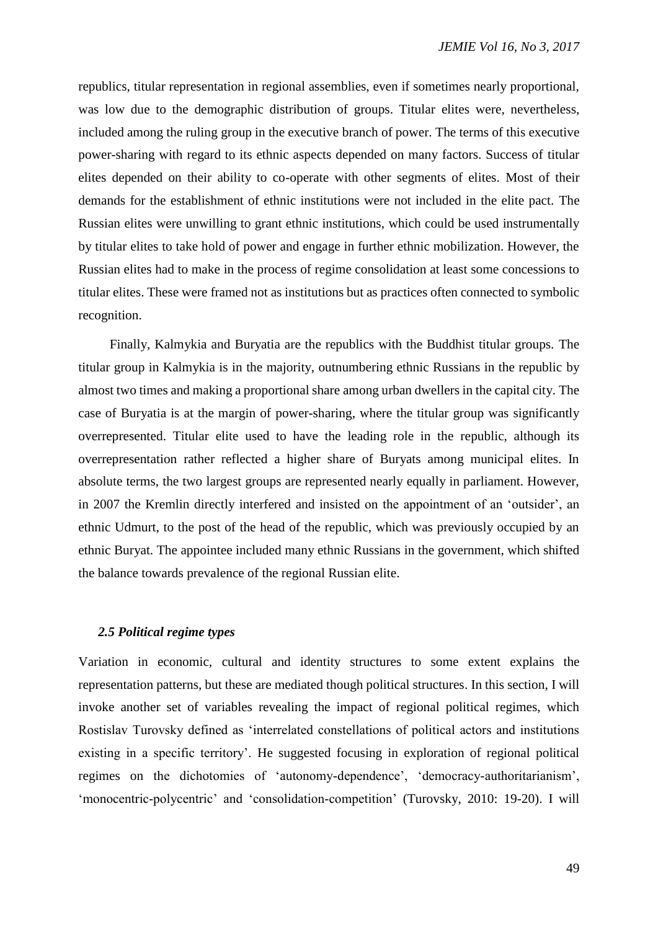republics, titular representation in regional assemblies, even if sometimes nearly proportional, was low due to the demographic distribution of groups. Titular elites were, nevertheless, included among the ruling group in the executive branch of power. The terms of this executive power-sharing with regard to its ethnic aspects depended on many factors. Success of titular elites depended on their ability to co-operate with other segments of elites. Most of their demands for the establishment of ethnic institutions were not included in the elite pact. The Russian elites were unwilling to grant ethnic institutions, which could be used instrumentally by titular elites to take hold of power and engage in further ethnic mobilization. However, the Russian elites had to make in the process of regime consolidation at least some concessions to titular elites. These were framed not as institutions but as practices often connected to symbolic recognition.

Finally, Kalmykia and Buryatia are the republics with the Buddhist titular groups. The titular group in Kalmykia is in the majority, outnumbering ethnic Russians in the republic by almost two times and making a proportional share among urban dwellers in the capital city. The case of Buryatia is at the margin of power-sharing, where the titular group was significantly overrepresented. Titular elite used to have the leading role in the republic, although its overrepresentation rather reflected a higher share of Buryats among municipal elites. In absolute terms, the two largest groups are represented nearly equally in parliament. However, in 2007 the Kremlin directly interfered and insisted on the appointment of an 'outsider', an ethnic Udmurt, to the post of the head of the republic, which was previously occupied by an ethnic Buryat. The appointee included many ethnic Russians in the government, which shifted the balance towards prevalence of the regional Russian elite.

# *2.5 Political regime types*

Variation in economic, cultural and identity structures to some extent explains the representation patterns, but these are mediated though political structures. In this section, I will invoke another set of variables revealing the impact of regional political regimes, which Rostislav Turovsky defined as 'interrelated constellations of political actors and institutions existing in a specific territory'. He suggested focusing in exploration of regional political regimes on the dichotomies of 'autonomy-dependence', 'democracy-authoritarianism', 'monocentric-polycentric' and 'consolidation-competition' (Turovsky, 2010: 19-20). I will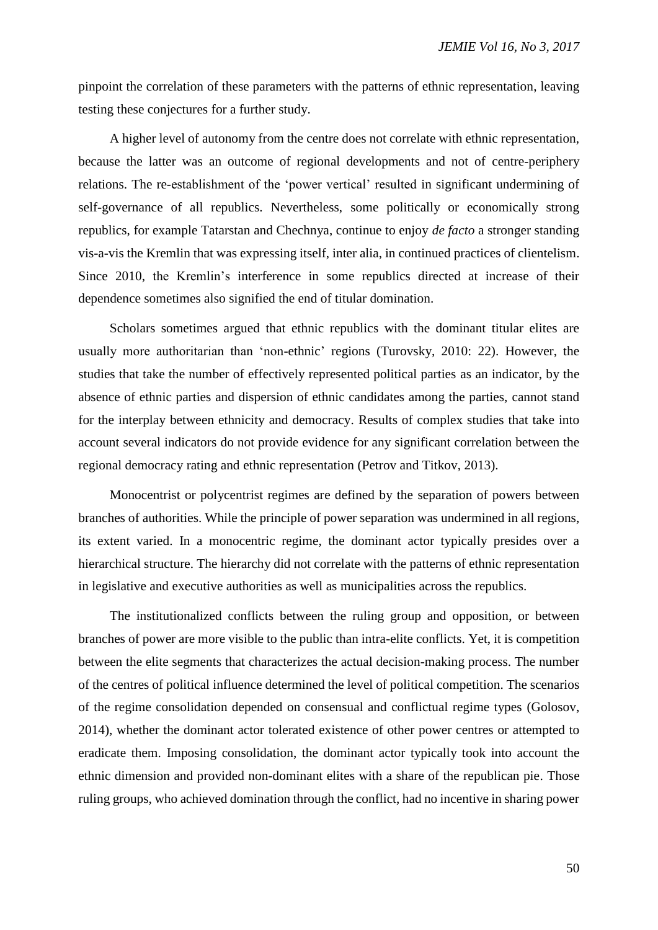pinpoint the correlation of these parameters with the patterns of ethnic representation, leaving testing these conjectures for a further study.

A higher level of autonomy from the centre does not correlate with ethnic representation, because the latter was an outcome of regional developments and not of centre-periphery relations. The re-establishment of the 'power vertical' resulted in significant undermining of self-governance of all republics. Nevertheless, some politically or economically strong republics, for example Tatarstan and Chechnya, continue to enjoy *de facto* a stronger standing vis-a-vis the Kremlin that was expressing itself, inter alia, in continued practices of clientelism. Since 2010, the Kremlin's interference in some republics directed at increase of their dependence sometimes also signified the end of titular domination.

Scholars sometimes argued that ethnic republics with the dominant titular elites are usually more authoritarian than 'non-ethnic' regions (Turovsky, 2010: 22). However, the studies that take the number of effectively represented political parties as an indicator, by the absence of ethnic parties and dispersion of ethnic candidates among the parties, cannot stand for the interplay between ethnicity and democracy. Results of complex studies that take into account several indicators do not provide evidence for any significant correlation between the regional democracy rating and ethnic representation (Petrov and Titkov, 2013).

Monocentrist or polycentrist regimes are defined by the separation of powers between branches of authorities. While the principle of power separation was undermined in all regions, its extent varied. In a monocentric regime, the dominant actor typically presides over a hierarchical structure. The hierarchy did not correlate with the patterns of ethnic representation in legislative and executive authorities as well as municipalities across the republics.

The institutionalized conflicts between the ruling group and opposition, or between branches of power are more visible to the public than intra-elite conflicts. Yet, it is competition between the elite segments that characterizes the actual decision-making process. The number of the centres of political influence determined the level of political competition. The scenarios of the regime consolidation depended on consensual and conflictual regime types (Golosov, 2014), whether the dominant actor tolerated existence of other power centres or attempted to eradicate them. Imposing consolidation, the dominant actor typically took into account the ethnic dimension and provided non-dominant elites with a share of the republican pie. Those ruling groups, who achieved domination through the conflict, had no incentive in sharing power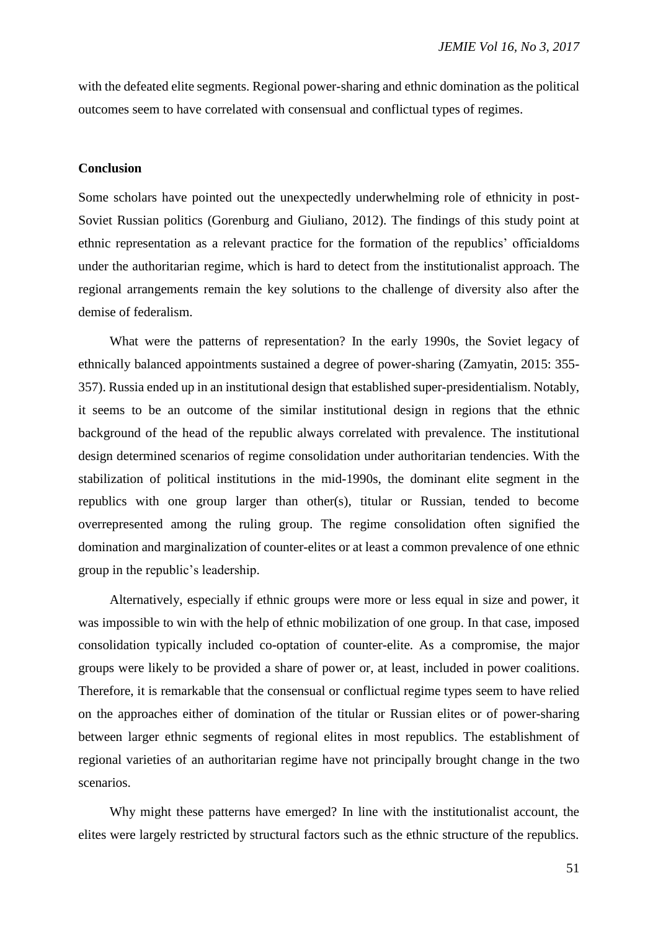with the defeated elite segments. Regional power-sharing and ethnic domination as the political outcomes seem to have correlated with consensual and conflictual types of regimes.

## **Conclusion**

Some scholars have pointed out the unexpectedly underwhelming role of ethnicity in post-Soviet Russian politics (Gorenburg and Giuliano, 2012). The findings of this study point at ethnic representation as a relevant practice for the formation of the republics' officialdoms under the authoritarian regime, which is hard to detect from the institutionalist approach. The regional arrangements remain the key solutions to the challenge of diversity also after the demise of federalism.

What were the patterns of representation? In the early 1990s, the Soviet legacy of ethnically balanced appointments sustained a degree of power-sharing (Zamyatin, 2015: 355- 357). Russia ended up in an institutional design that established super-presidentialism. Notably, it seems to be an outcome of the similar institutional design in regions that the ethnic background of the head of the republic always correlated with prevalence. The institutional design determined scenarios of regime consolidation under authoritarian tendencies. With the stabilization of political institutions in the mid-1990s, the dominant elite segment in the republics with one group larger than other(s), titular or Russian, tended to become overrepresented among the ruling group. The regime consolidation often signified the domination and marginalization of counter-elites or at least a common prevalence of one ethnic group in the republic's leadership.

Alternatively, especially if ethnic groups were more or less equal in size and power, it was impossible to win with the help of ethnic mobilization of one group. In that case, imposed consolidation typically included co-optation of counter-elite. As a compromise, the major groups were likely to be provided a share of power or, at least, included in power coalitions. Therefore, it is remarkable that the consensual or conflictual regime types seem to have relied on the approaches either of domination of the titular or Russian elites or of power-sharing between larger ethnic segments of regional elites in most republics. The establishment of regional varieties of an authoritarian regime have not principally brought change in the two scenarios.

Why might these patterns have emerged? In line with the institutionalist account, the elites were largely restricted by structural factors such as the ethnic structure of the republics.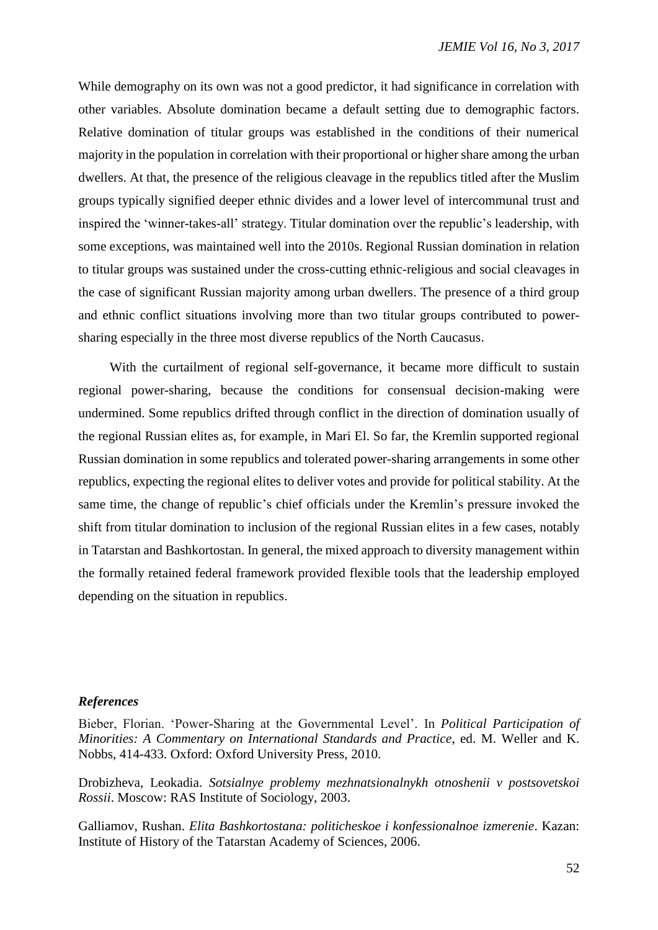While demography on its own was not a good predictor, it had significance in correlation with other variables. Absolute domination became a default setting due to demographic factors. Relative domination of titular groups was established in the conditions of their numerical majority in the population in correlation with their proportional or higher share among the urban dwellers. At that, the presence of the religious cleavage in the republics titled after the Muslim groups typically signified deeper ethnic divides and a lower level of intercommunal trust and inspired the 'winner-takes-all' strategy. Titular domination over the republic's leadership, with some exceptions, was maintained well into the 2010s. Regional Russian domination in relation to titular groups was sustained under the cross-cutting ethnic-religious and social cleavages in the case of significant Russian majority among urban dwellers. The presence of a third group and ethnic conflict situations involving more than two titular groups contributed to powersharing especially in the three most diverse republics of the North Caucasus.

With the curtailment of regional self-governance, it became more difficult to sustain regional power-sharing, because the conditions for consensual decision-making were undermined. Some republics drifted through conflict in the direction of domination usually of the regional Russian elites as, for example, in Mari El. So far, the Kremlin supported regional Russian domination in some republics and tolerated power-sharing arrangements in some other republics, expecting the regional elites to deliver votes and provide for political stability. At the same time, the change of republic's chief officials under the Kremlin's pressure invoked the shift from titular domination to inclusion of the regional Russian elites in a few cases, notably in Tatarstan and Bashkortostan. In general, the mixed approach to diversity management within the formally retained federal framework provided flexible tools that the leadership employed depending on the situation in republics.

#### *References*

Bieber, Florian. 'Power-Sharing at the Governmental Level'. In *Political Participation of Minorities: A Commentary on International Standards and Practice*, ed. M. Weller and K. Nobbs, 414-433. Oxford: Oxford University Press, 2010.

Drobizheva, Leokadia. *Sotsialnye problemy mezhnatsionalnykh otnoshenii v postsovetskoi Rossii*. Moscow: RAS Institute of Sociology, 2003.

Galliamov, Rushan. *Elita Bashkortostana: politicheskoe i konfessionalnoe izmerenie*. Kazan: Institute of History of the Tatarstan Academy of Sciences, 2006.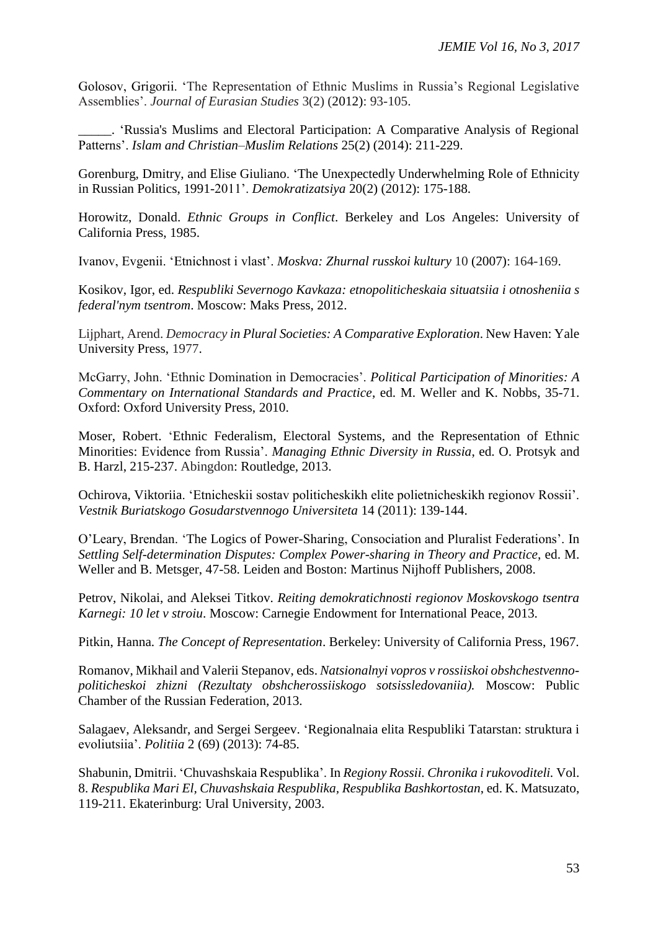Golosov, Grigorii. 'The Representation of Ethnic Muslims in Russia's Regional Legislative Assemblies'. *Journal of Eurasian Studies* 3(2) (2012): 93-105.

\_\_\_\_\_. 'Russia's Muslims and Electoral Participation: A Comparative Analysis of Regional Patterns'. *Islam and Christian–Muslim Relations* 25(2) (2014): 211-229.

Gorenburg, Dmitry, and Elise Giuliano. 'The Unexpectedly Underwhelming Role of Ethnicity in Russian Politics, 1991-2011'. *Demokratizatsiya* 20(2) (2012): 175-188.

Horowitz, Donald. *Ethnic Groups in Conflict*. Berkeley and Los Angeles: University of California Press, 1985.

Ivanov, Evgenii. 'Etnichnost i vlast'. *Moskva: Zhurnal russkoi kultury* 10 (2007): 164-169.

Kosikov, Igor, ed. *Respubliki Severnogo Kavkaza: etnopoliticheskaia situatsiia i otnosheniia s federal'nym tsentrom*. Moscow: Maks Press, 2012.

Lijphart, Arend. *Democracy in Plural Societies: A Comparative Exploration*. New Haven: Yale University Press, 1977.

McGarry, John. 'Ethnic Domination in Democracies'. *Political Participation of Minorities: A Commentary on International Standards and Practice*, ed. M. Weller and K. Nobbs, 35-71. Oxford: Oxford University Press, 2010.

Moser, Robert. 'Ethnic Federalism, Electoral Systems, and the Representation of Ethnic Minorities: Evidence from Russia'. *Managing Ethnic Diversity in Russia*, ed. O. Protsyk and B. Harzl, 215-237. Abingdon: Routledge, 2013.

Ochirova, Viktoriia. 'Etnicheskii sostav politicheskikh elite polietnicheskikh regionov Rossii'. *Vestnik Buriatskogo Gosudarstvennogo Universiteta* 14 (2011): 139-144.

O'Leary, Brendan. 'The Logics of Power-Sharing, Consociation and Pluralist Federations'. In *Settling Self-determination Disputes: Complex Power-sharing in Theory and Practice*, ed. M. Weller and B. Metsger, 47-58. Leiden and Boston: Martinus Nijhoff Publishers, 2008.

Petrov, Nikolai, and Aleksei Titkov. *Reiting demokratichnosti regionov Moskovskogo tsentra Karnegi: 10 let v stroiu*. Moscow: Carnegie Endowment for International Peace, 2013.

Pitkin, Hanna. *The Concept of Representation*. Berkeley: University of California Press, 1967.

Romanov, Mikhail and Valerii Stepanov, eds. *Natsionalnyi vopros v rossiiskoi obshchestvennopoliticheskoi zhizni (Rezultaty obshcherossiiskogo sotsissledovaniia).* Moscow: Public Chamber of the Russian Federation, 2013.

Salagaev, Aleksandr, and Sergei Sergeev. 'Regionalnaia elita Respubliki Tatarstan: struktura i evoliutsiia'. *Politiia* 2 (69) (2013): 74-85.

Shabunin, Dmitrii. 'Chuvashskaia Respublika'. In *Regiony Rossii. Chronika i rukovoditeli.* Vol. 8. *Respublika Mari El, Chuvashskaia Respublika, Respublika Bashkortostan*, ed. K. Matsuzato, 119-211. Ekaterinburg: Ural University, 2003.